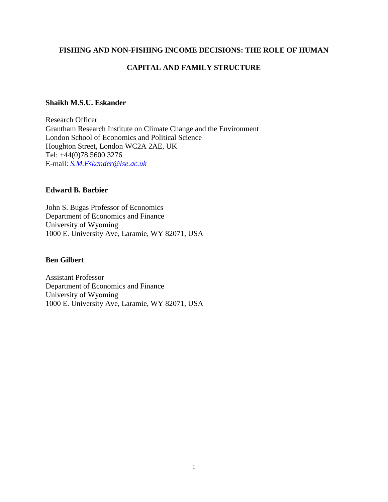## **FISHING AND NON-FISHING INCOME DECISIONS: THE ROLE OF HUMAN**

## **CAPITAL AND FAMILY STRUCTURE**

### **Shaikh M.S.U. Eskander**

Research Officer Grantham Research Institute on Climate Change and the Environment London School of Economics and Political Science Houghton Street, London WC2A 2AE, UK Tel: +44(0)78 5600 3276 E-mail: *[S.M.Eskander@lse.ac.uk](mailto:S.M.Eskander@lse.ac.uk)*

## **Edward B. Barbier**

John S. Bugas Professor of Economics Department of Economics and Finance University of Wyoming 1000 E. University Ave, Laramie, WY 82071, USA

## **Ben Gilbert**

Assistant Professor Department of Economics and Finance University of Wyoming 1000 E. University Ave, Laramie, WY 82071, USA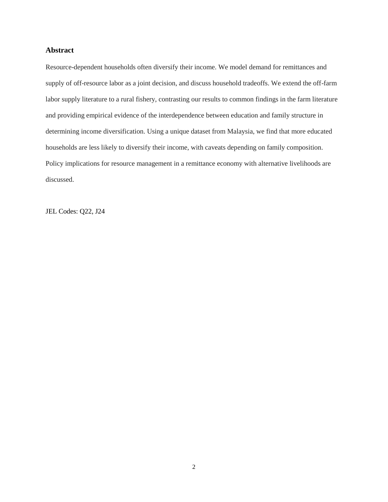#### **Abstract**

Resource-dependent households often diversify their income. We model demand for remittances and supply of off-resource labor as a joint decision, and discuss household tradeoffs. We extend the off-farm labor supply literature to a rural fishery, contrasting our results to common findings in the farm literature and providing empirical evidence of the interdependence between education and family structure in determining income diversification. Using a unique dataset from Malaysia, we find that more educated households are less likely to diversify their income, with caveats depending on family composition. Policy implications for resource management in a remittance economy with alternative livelihoods are discussed.

JEL Codes: Q22, J24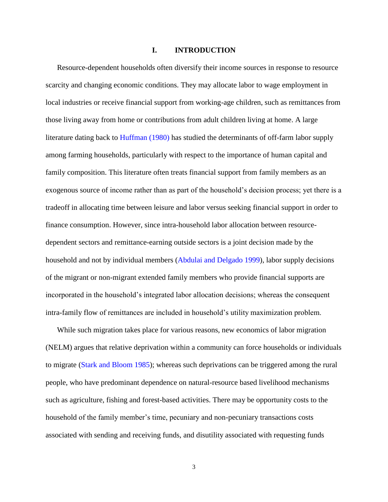#### **I. INTRODUCTION**

Resource-dependent households often diversify their income sources in response to resource scarcity and changing economic conditions. They may allocate labor to wage employment in local industries or receive financial support from working-age children, such as remittances from those living away from home or contributions from adult children living at home. A large literature dating back to [Huffman \(1980\)](#page-36-0) has studied the determinants of off-farm labor supply among farming households, particularly with respect to the importance of human capital and family composition. This literature often treats financial support from family members as an exogenous source of income rather than as part of the household's decision process; yet there is a tradeoff in allocating time between leisure and labor versus seeking financial support in order to finance consumption. However, since intra-household labor allocation between resourcedependent sectors and remittance-earning outside sectors is a joint decision made by the household and not by individual members [\(Abdulai and Delgado 1999\)](#page-32-0), labor supply decisions of the migrant or non-migrant extended family members who provide financial supports are incorporated in the household's integrated labor allocation decisions; whereas the consequent intra-family flow of remittances are included in household's utility maximization problem.

While such migration takes place for various reasons, new economics of labor migration (NELM) argues that relative deprivation within a community can force households or individuals to migrate [\(Stark and Bloom 1985\)](#page-38-0); whereas such deprivations can be triggered among the rural people, who have predominant dependence on natural-resource based livelihood mechanisms such as agriculture, fishing and forest-based activities. There may be opportunity costs to the household of the family member's time, pecuniary and non-pecuniary transactions costs associated with sending and receiving funds, and disutility associated with requesting funds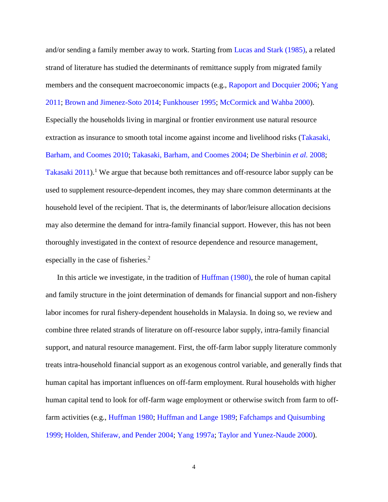and/or sending a family member away to work. Starting from Lucas [and Stark \(1985\),](#page-37-0) a related strand of literature has studied the determinants of remittance supply from migrated family members and the consequent macroeconomic impacts (e.g., [Rapoport and Docquier 2006;](#page-37-1) Yang [2011;](#page-40-0) [Brown and Jimenez-Soto 2014;](#page-33-0) [Funkhouser 1995;](#page-35-0) [McCormick and Wahba 2000\)](#page-37-2).

Especially the households living in marginal or frontier environment use natural resource extraction as insurance to smooth total income against income and livelihood risks [\(Takasaki,](#page-39-0)  [Barham, and Coomes 2010;](#page-39-0) [Takasaki, Barham, and Coomes 2004;](#page-39-1) [De Sherbinin](#page-34-0) *et al.* 2008; [Takasaki 2011\)](#page-39-2).<sup>1</sup> We argue that because both remittances and off-resource labor supply can be used to supplement resource-dependent incomes, they may share common determinants at the household level of the recipient. That is, the determinants of labor/leisure allocation decisions may also determine the demand for intra-family financial support. However, this has not been thoroughly investigated in the context of resource dependence and resource management, especially in the case of fisheries.<sup>2</sup>

In this article we investigate, in the tradition of [Huffman \(1980\),](#page-36-0) the role of human capital and family structure in the joint determination of demands for financial support and non-fishery labor incomes for rural fishery-dependent households in Malaysia. In doing so, we review and combine three related strands of literature on off-resource labor supply, intra-family financial support, and natural resource management. First, the off-farm labor supply literature commonly treats intra-household financial support as an exogenous control variable, and generally finds that human capital has important influences on off-farm employment. Rural households with higher human capital tend to look for off-farm wage employment or otherwise switch from farm to offfarm activities (e.g., [Huffman 1980;](#page-36-0) [Huffman and Lange 1989;](#page-37-3) [Fafchamps and Quisumbing](#page-35-1)  [1999;](#page-35-1) [Holden, Shiferaw, and Pender](#page-36-1) 2004; [Yang 1997a;](#page-40-1) [Taylor and Yunez-Naude 2000\)](#page-39-3).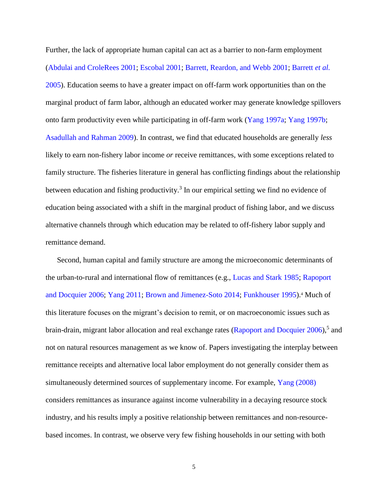Further, the lack of appropriate human capital can act as a barrier to non-farm employment [\(Abdulai and CroleRees 2001;](#page-32-1) [Escobal 2001;](#page-35-2) [Barrett, Reardon, and Webb](#page-33-1) 2001; [Barrett](#page-33-2) *et al.* [2005\)](#page-33-2). Education seems to have a greater impact on off-farm work opportunities than on the marginal product of farm labor, although an educated worker may generate knowledge spillovers onto farm productivity even while participating in off-farm work [\(Yang 1997a;](#page-40-1) [Yang 1997b;](#page-40-2) [Asadullah and Rahman 2009\)](#page-32-2). In contrast, we find that educated households are generally *less* likely to earn non-fishery labor income *or* receive remittances, with some exceptions related to family structure. The fisheries literature in general has conflicting findings about the relationship between education and fishing productivity.<sup>3</sup> In our empirical setting we find no evidence of education being associated with a shift in the marginal product of fishing labor, and we discuss alternative channels through which education may be related to off-fishery labor supply and remittance demand.

Second, human capital and family structure are among the microeconomic determinants of the urban-to-rural and international flow of remittances (e.g., [Lucas and Stark 1985;](#page-37-0) [Rapoport](#page-37-1)  [and Docquier 2006;](#page-37-1) [Yang 2011;](#page-40-0) [Brown and Jimenez-Soto 2014;](#page-33-0) [Funkhouser 1995\)](#page-35-0).<sup>4</sup> Much of this literature focuses on the migrant's decision to remit, or on macroeconomic issues such as brain-drain, migrant labor allocation and real exchange rates [\(Rapoport and Docquier 2006\)](#page-37-1),<sup>5</sup> and not on natural resources management as we know of. Papers investigating the interplay between remittance receipts and alternative local labor employment do not generally consider them as simultaneously determined sources of supplementary income. For example, [Yang \(2008\)](#page-40-3) considers remittances as insurance against income vulnerability in a decaying resource stock industry, and his results imply a positive relationship between remittances and non-resourcebased incomes. In contrast, we observe very few fishing households in our setting with both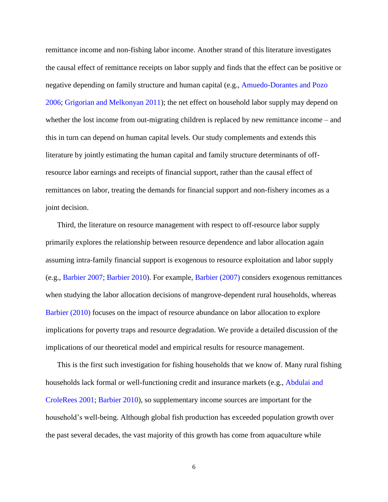remittance income and non-fishing labor income. Another strand of this literature investigates the causal effect of remittance receipts on labor supply and finds that the effect can be positive or negative depending on family structure and human capital (e.g., [Amuedo-Dorantes and Pozo](#page-32-3)  [2006;](#page-32-3) [Grigorian and Melkonyan 2011\)](#page-35-3); the net effect on household labor supply may depend on whether the lost income from out-migrating children is replaced by new remittance income – and this in turn can depend on human capital levels. Our study complements and extends this literature by jointly estimating the human capital and family structure determinants of offresource labor earnings and receipts of financial support, rather than the causal effect of remittances on labor, treating the demands for financial support and non-fishery incomes as a joint decision.

Third, the literature on resource management with respect to off-resource labor supply primarily explores the relationship between resource dependence and labor allocation again assuming intra-family financial support is exogenous to resource exploitation and labor supply (e.g., [Barbier 2007;](#page-32-4) [Barbier 2010\)](#page-33-3). For example, [Barbier \(2007\)](#page-32-4) considers exogenous remittances when studying the labor allocation decisions of mangrove-dependent rural households, whereas [Barbier \(2010\)](#page-33-3) focuses on the impact of resource abundance on labor allocation to explore implications for poverty traps and resource degradation. We provide a detailed discussion of the implications of our theoretical model and empirical results for resource management.

This is the first such investigation for fishing households that we know of. Many rural fishing households lack formal or well-functioning credit and insurance markets (e.g., [Abdulai and](#page-32-1)  [CroleRees 2001;](#page-32-1) [Barbier 2010\)](#page-33-3), so supplementary income sources are important for the household's well-being. Although global fish production has exceeded population growth over the past several decades, the vast majority of this growth has come from aquaculture while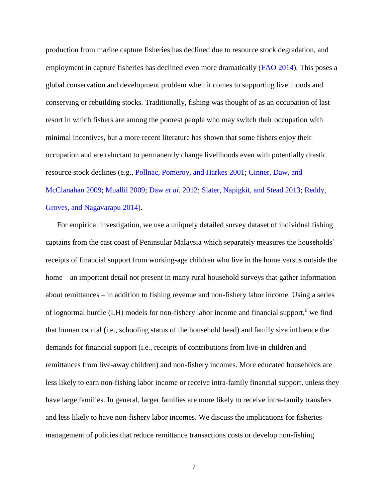production from marine capture fisheries has declined due to resource stock degradation, and employment in capture fisheries has declined even more dramatically [\(FAO 2014\)](#page-35-4). This poses a global conservation and development problem when it comes to supporting livelihoods and conserving or rebuilding stocks. Traditionally, fishing was thought of as an occupation of last resort in which fishers are among the poorest people who may switch their occupation with minimal incentives, but a more recent literature has shown that some fishers enjoy their occupation and are reluctant to permanently change livelihoods even with potentially drastic resource stock declines (e.g., [Pollnac, Pomeroy, and Harkes 2001;](#page-37-4) [Cinner, Daw, and](#page-34-1)  [McClanahan 2009;](#page-34-1) [Muallil 2009;](#page-37-5) [Daw](#page-34-2) *et al.* 2012; [Slater, Napigkit, and Stead 2013;](#page-38-1) [Reddy,](#page-38-2)  [Groves, and Nagavarapu 2014\)](#page-38-2).

For empirical investigation, we use a uniquely detailed survey dataset of individual fishing captains from the east coast of Peninsular Malaysia which separately measures the households' receipts of financial support from working-age children who live in the home versus outside the home – an important detail not present in many rural household surveys that gather information about remittances – in addition to fishing revenue and non-fishery labor income. Using a series of lognormal hurdle (LH) models for non-fishery labor income and financial support,<sup>6</sup> we find that human capital (i.e., schooling status of the household head) and family size influence the demands for financial support (i.e., receipts of contributions from live-in children and remittances from live-away children) and non-fishery incomes. More educated households are less likely to earn non-fishing labor income or receive intra-family financial support, unless they have large families. In general, larger families are more likely to receive intra-family transfers and less likely to have non-fishery labor incomes. We discuss the implications for fisheries management of policies that reduce remittance transactions costs or develop non-fishing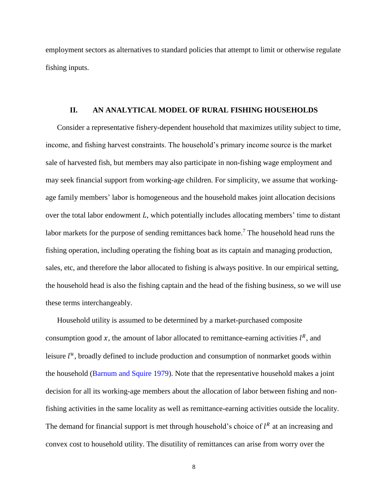employment sectors as alternatives to standard policies that attempt to limit or otherwise regulate fishing inputs.

#### **II. AN ANALYTICAL MODEL OF RURAL FISHING HOUSEHOLDS**

Consider a representative fishery-dependent household that maximizes utility subject to time, income, and fishing harvest constraints. The household's primary income source is the market sale of harvested fish, but members may also participate in non-fishing wage employment and may seek financial support from working-age children. For simplicity, we assume that workingage family members' labor is homogeneous and the household makes joint allocation decisions over the total labor endowment  $L$ , which potentially includes allocating members' time to distant labor markets for the purpose of sending remittances back home.<sup>7</sup> The household head runs the fishing operation, including operating the fishing boat as its captain and managing production, sales, etc, and therefore the labor allocated to fishing is always positive. In our empirical setting, the household head is also the fishing captain and the head of the fishing business, so we will use these terms interchangeably.

Household utility is assumed to be determined by a market-purchased composite consumption good x, the amount of labor allocated to remittance-earning activities  $l^R$ , and leisure  $l^u$ , broadly defined to include production and consumption of nonmarket goods within the household [\(Barnum and Squire 1979\)](#page-33-4). Note that the representative household makes a joint decision for all its working-age members about the allocation of labor between fishing and nonfishing activities in the same locality as well as remittance-earning activities outside the locality. The demand for financial support is met through household's choice of  $l^R$  at an increasing and convex cost to household utility. The disutility of remittances can arise from worry over the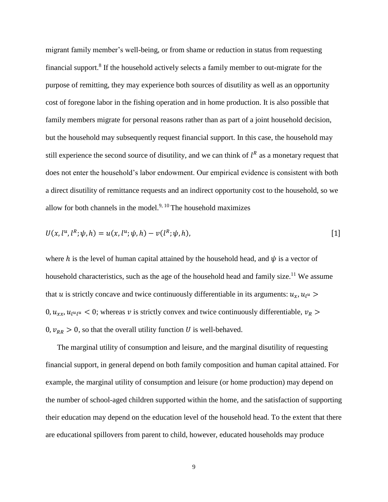migrant family member's well-being, or from shame or reduction in status from requesting financial support.<sup>8</sup> If the household actively selects a family member to out-migrate for the purpose of remitting, they may experience both sources of disutility as well as an opportunity cost of foregone labor in the fishing operation and in home production. It is also possible that family members migrate for personal reasons rather than as part of a joint household decision, but the household may subsequently request financial support. In this case, the household may still experience the second source of disutility, and we can think of  $l^R$  as a monetary request that does not enter the household's labor endowment. Our empirical evidence is consistent with both a direct disutility of remittance requests and an indirect opportunity cost to the household, so we allow for both channels in the model. $9, 10$  The household maximizes

<span id="page-8-0"></span>
$$
U(x, l^u, l^h; \psi, h) = u(x, l^u; \psi, h) - v(l^h; \psi, h),
$$
\n[1]

where h is the level of human capital attained by the household head, and  $\psi$  is a vector of household characteristics, such as the age of the household head and family size.<sup>11</sup> We assume that u is strictly concave and twice continuously differentiable in its arguments:  $u_x$ ,  $u_{l}u$ 0,  $u_{xx}$ ,  $u_{l}u_{l}$  < 0; whereas v is strictly convex and twice continuously differentiable,  $v_R$  $0, v_{RR} > 0$ , so that the overall utility function U is well-behaved.

The marginal utility of consumption and leisure, and the marginal disutility of requesting financial support, in general depend on both family composition and human capital attained. For example, the marginal utility of consumption and leisure (or home production) may depend on the number of school-aged children supported within the home, and the satisfaction of supporting their education may depend on the education level of the household head. To the extent that there are educational spillovers from parent to child, however, educated households may produce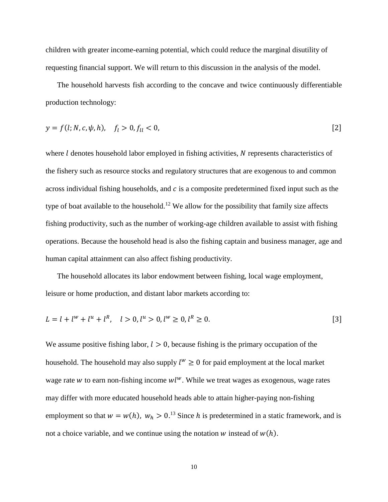children with greater income-earning potential, which could reduce the marginal disutility of requesting financial support. We will return to this discussion in the analysis of the model.

The household harvests fish according to the concave and twice continuously differentiable production technology:

<span id="page-9-0"></span>
$$
y = f(l; N, c, \psi, h), \quad f_l > 0, f_{ll} < 0,
$$
 [2]

where  $l$  denotes household labor employed in fishing activities,  $N$  represents characteristics of the fishery such as resource stocks and regulatory structures that are exogenous to and common across individual fishing households, and  $c$  is a composite predetermined fixed input such as the type of boat available to the household.<sup>12</sup> We allow for the possibility that family size affects fishing productivity, such as the number of working-age children available to assist with fishing operations. Because the household head is also the fishing captain and business manager, age and human capital attainment can also affect fishing productivity.

The household allocates its labor endowment between fishing, local wage employment, leisure or home production, and distant labor markets according to:

<span id="page-9-1"></span>
$$
L = l + l^{w} + l^{u} + l^{R}, \quad l > 0, l^{u} > 0, l^{w} \ge 0, l^{R} \ge 0.
$$
\n
$$
\tag{3}
$$

We assume positive fishing labor,  $l > 0$ , because fishing is the primary occupation of the household. The household may also supply  $l^w \geq 0$  for paid employment at the local market wage rate w to earn non-fishing income  $wl<sup>w</sup>$ . While we treat wages as exogenous, wage rates may differ with more educated household heads able to attain higher-paying non-fishing employment so that  $w = w(h)$ ,  $w_h > 0$ .<sup>13</sup> Since h is predetermined in a static framework, and is not a choice variable, and we continue using the notation  $w$  instead of  $w(h)$ .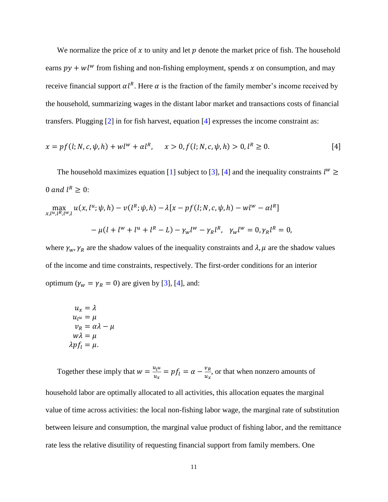We normalize the price of  $x$  to unity and let  $p$  denote the market price of fish. The household earns  $py + w l^w$  from fishing and non-fishing employment, spends x on consumption, and may receive financial support  $\alpha l^R$ . Here  $\alpha$  is the fraction of the family member's income received by the household, summarizing wages in the distant labor market and transactions costs of financial transfers. Plugging [\[2\]](#page-9-0) in for fish harvest, equation [\[4\]](#page-10-0) expresses the income constraint as:

<span id="page-10-0"></span>
$$
x = pf(l; N, c, \psi, h) + w l^{w} + \alpha l^{R}, \quad x > 0, f(l; N, c, \psi, h) > 0, l^{R} \ge 0.
$$
 [4]

The household maximizes equation [\[1\]](#page-8-0) subject to [\[3\]](#page-9-1), [\[4\]](#page-10-0) and the inequality constraints  $l^w \geq$ 0 and  $l^R \geq 0$ :

$$
\max_{x,l^{u},l^{R},l^{w},l} u(x,l^{u};\psi,h) - v(l^{R};\psi,h) - \lambda[x - pf(l;N,c,\psi,h) - wl^{w} - \alpha l^{R}]
$$
  

$$
- \mu(l + l^{w} + l^{u} + l^{R} - L) - \gamma_{w}l^{w} - \gamma_{R}l^{R}, \ \gamma_{w}l^{w} = 0, \gamma_{R}l^{R} = 0,
$$

where  $\gamma_w$ ,  $\gamma_R$  are the shadow values of the inequality constraints and  $\lambda$ ,  $\mu$  are the shadow values of the income and time constraints, respectively. The first-order conditions for an interior optimum ( $\gamma_w = \gamma_R = 0$ ) are given by [\[3\]](#page-9-1), [\[4\]](#page-10-0), and:

$$
u_x = \lambda
$$
  
\n
$$
u_{l^u} = \mu
$$
  
\n
$$
v_R = \alpha \lambda - \mu
$$
  
\n
$$
w\lambda = \mu
$$
  
\n
$$
\lambda p f_l = \mu.
$$

Together these imply that  $w = \frac{u_l u}{v_l}$  $\frac{u_l u}{u_x} = p f_l = \alpha - \frac{v_R}{u_x}$  $\frac{\partial R}{\partial u_x}$ , or that when nonzero amounts of household labor are optimally allocated to all activities, this allocation equates the marginal value of time across activities: the local non-fishing labor wage, the marginal rate of substitution between leisure and consumption, the marginal value product of fishing labor, and the remittance rate less the relative disutility of requesting financial support from family members. One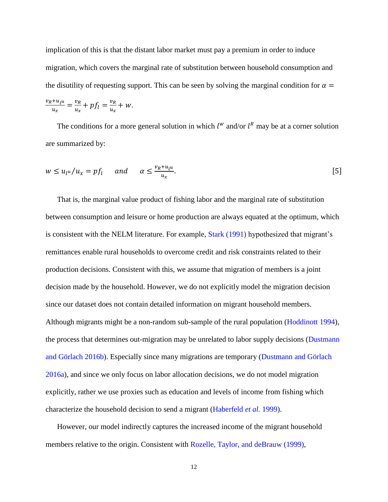implication of this is that the distant labor market must pay a premium in order to induce migration, which covers the marginal rate of substitution between household consumption and the disutility of requesting support. This can be seen by solving the marginal condition for  $\alpha =$ 

$$
\frac{v_R + u_{l}u}{u_x} = \frac{v_R}{u_x} + pf_l = \frac{v_R}{u_x} + w.
$$

The conditions for a more general solution in which  $l^w$  and/or  $l^R$  may be at a corner solution are summarized by:

<span id="page-11-0"></span>
$$
w \le u_{l} u / u_x = pf_l \quad \text{and} \quad \alpha \le \frac{v_R + u_{l} u}{u_x}.
$$

That is, the marginal value product of fishing labor and the marginal rate of substitution between consumption and leisure or home production are always equated at the optimum, which is consistent with the NELM literature. For example, [Stark \(1991\)](#page-38-3) hypothesized that migrant's remittances enable rural households to overcome credit and risk constraints related to their production decisions. Consistent with this, we assume that migration of members is a joint decision made by the household. However, we do not explicitly model the migration decision since our dataset does not contain detailed information on migrant household members. Although migrants might be a non-random sub-sample of the rural population [\(Hoddinott 1994\)](#page-36-2), the process that determines out-migration may be unrelated to labor supply decisions [\(Dustmann](#page-35-5)  [and Görlach 2016b\)](#page-35-5). Especially since many migrations are temporary [\(Dustmann and Görlach](#page-34-3)  [2016a\)](#page-34-3), and since we only focus on labor allocation decisions, we do not model migration explicitly, rather we use proxies such as education and levels of income from fishing which characterize the household decision to send a migrant [\(Haberfeld](#page-36-3) *et al.* 1999).

However, our model indirectly captures the increased income of the migrant household members relative to the origin. Consistent with [Rozelle, Taylor, and deBrauw \(1999\),](#page-38-4)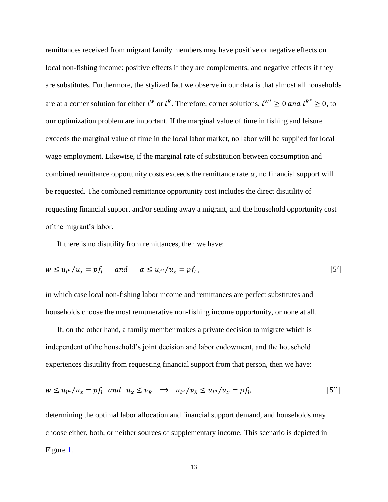remittances received from migrant family members may have positive or negative effects on local non-fishing income: positive effects if they are complements, and negative effects if they are substitutes. Furthermore, the stylized fact we observe in our data is that almost all households are at a corner solution for either  $l^w$  or  $l^R$ . Therefore, corner solutions,  $l^{w^*} \geq 0$  and  $l^{R^*} \geq 0$ , to our optimization problem are important. If the marginal value of time in fishing and leisure exceeds the marginal value of time in the local labor market, no labor will be supplied for local wage employment. Likewise, if the marginal rate of substitution between consumption and combined remittance opportunity costs exceeds the remittance rate  $\alpha$ , no financial support will be requested. The combined remittance opportunity cost includes the direct disutility of requesting financial support and/or sending away a migrant, and the household opportunity cost of the migrant's labor.

If there is no disutility from remittances, then we have:

<span id="page-12-0"></span>
$$
w \le u_{l} u / u_x = pf_l \quad \text{and} \quad \alpha \le u_{l} u / u_x = pf_l , \tag{5'}
$$

in which case local non-fishing labor income and remittances are perfect substitutes and households choose the most remunerative non-fishing income opportunity, or none at all.

If, on the other hand, a family member makes a private decision to migrate which is independent of the household's joint decision and labor endowment, and the household experiences disutility from requesting financial support from that person, then we have:

<span id="page-12-1"></span>
$$
w \le u_{l} u / u_x = pf_l \quad \text{and} \quad u_x \le v_R \quad \Rightarrow \quad u_{l} u / v_R \le u_{l} u / u_x = pf_l, \tag{5''}
$$

determining the optimal labor allocation and financial support demand, and households may choose either, both, or neither sources of supplementary income. This scenario is depicted in Figure [1.](#page-46-0)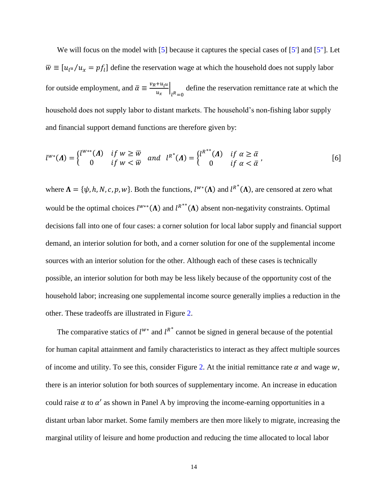We will focus on the model with [\[5\]](#page-11-0) because it captures the special cases of [\[5'\]](#page-12-0) and [5'']. Let  $\overline{w} \equiv [u_{l}u/u_{x} = pf_{l}]$  define the reservation wage at which the household does not supply labor for outside employment, and  $\bar{\alpha} \equiv \frac{v_R + u_l u_l}{\sigma}$  $\frac{u_l u}{u_x}$  $l^R=0$ define the reservation remittance rate at which the household does not supply labor to distant markets. The household's non-fishing labor supply and financial support demand functions are therefore given by:

<span id="page-13-0"></span>
$$
l^{w*}(\Lambda) = \begin{cases} l^{w**}(\Lambda) & \text{if } w \ge \overline{w} \\ 0 & \text{if } w < \overline{w} \end{cases} \text{ and } l^{R^*}(\Lambda) = \begin{cases} l^{R^{**}}(\Lambda) & \text{if } \alpha \ge \overline{\alpha} \\ 0 & \text{if } \alpha < \overline{\alpha} \end{cases},
$$
 [6]

where  $\Lambda = {\psi, h, N, c, p, w}$ . Both the functions,  $l^{w*}(\Lambda)$  and  $l^{R*}(\Lambda)$ , are censored at zero what would be the optimal choices  $l^{w**}(\Lambda)$  and  $l^{R^{**}}(\Lambda)$  absent non-negativity constraints. Optimal decisions fall into one of four cases: a corner solution for local labor supply and financial support demand, an interior solution for both, and a corner solution for one of the supplemental income sources with an interior solution for the other. Although each of these cases is technically possible, an interior solution for both may be less likely because of the opportunity cost of the household labor; increasing one supplemental income source generally implies a reduction in the other. These tradeoffs are illustrated in Figure [2.](#page-46-1)

The comparative statics of  $l^{w*}$  and  $l^{R*}$  cannot be signed in general because of the potential for human capital attainment and family characteristics to interact as they affect multiple sources of income and utility. To see this, consider Figure [2.](#page-46-1) At the initial remittance rate  $\alpha$  and wage w, there is an interior solution for both sources of supplementary income. An increase in education could raise  $\alpha$  to  $\alpha'$  as shown in Panel A by improving the income-earning opportunities in a distant urban labor market. Some family members are then more likely to migrate, increasing the marginal utility of leisure and home production and reducing the time allocated to local labor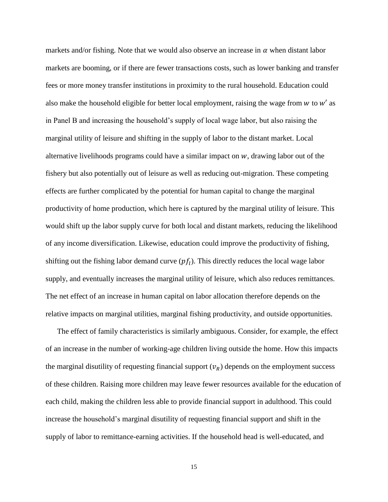markets and/or fishing. Note that we would also observe an increase in  $\alpha$  when distant labor markets are booming, or if there are fewer transactions costs, such as lower banking and transfer fees or more money transfer institutions in proximity to the rural household. Education could also make the household eligible for better local employment, raising the wage from  $w$  to  $w'$  as in Panel B and increasing the household's supply of local wage labor, but also raising the marginal utility of leisure and shifting in the supply of labor to the distant market. Local alternative livelihoods programs could have a similar impact on  $w$ , drawing labor out of the fishery but also potentially out of leisure as well as reducing out-migration. These competing effects are further complicated by the potential for human capital to change the marginal productivity of home production, which here is captured by the marginal utility of leisure. This would shift up the labor supply curve for both local and distant markets, reducing the likelihood of any income diversification. Likewise, education could improve the productivity of fishing, shifting out the fishing labor demand curve  $(pf_l)$ . This directly reduces the local wage labor supply, and eventually increases the marginal utility of leisure, which also reduces remittances. The net effect of an increase in human capital on labor allocation therefore depends on the relative impacts on marginal utilities, marginal fishing productivity, and outside opportunities.

The effect of family characteristics is similarly ambiguous. Consider, for example, the effect of an increase in the number of working-age children living outside the home. How this impacts the marginal disutility of requesting financial support  $(v_R)$  depends on the employment success of these children. Raising more children may leave fewer resources available for the education of each child, making the children less able to provide financial support in adulthood. This could increase the household's marginal disutility of requesting financial support and shift in the supply of labor to remittance-earning activities. If the household head is well-educated, and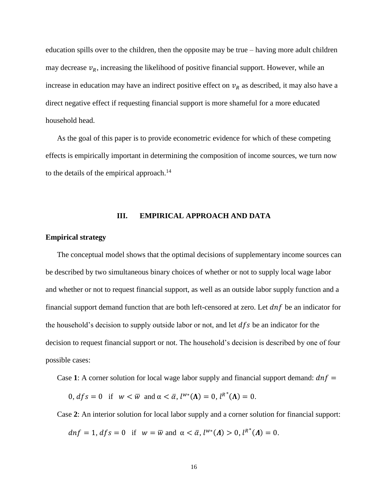education spills over to the children, then the opposite may be true – having more adult children may decrease  $v_R$ , increasing the likelihood of positive financial support. However, while an increase in education may have an indirect positive effect on  $v_R$  as described, it may also have a direct negative effect if requesting financial support is more shameful for a more educated household head.

As the goal of this paper is to provide econometric evidence for which of these competing effects is empirically important in determining the composition of income sources, we turn now to the details of the empirical approach.<sup>14</sup>

#### **III. EMPIRICAL APPROACH AND DATA**

#### **Empirical strategy**

The conceptual model shows that the optimal decisions of supplementary income sources can be described by two simultaneous binary choices of whether or not to supply local wage labor and whether or not to request financial support, as well as an outside labor supply function and a financial support demand function that are both left-censored at zero. Let  $dnf$  be an indicator for the household's decision to supply outside labor or not, and let  $dfs$  be an indicator for the decision to request financial support or not. The household's decision is described by one of four possible cases:

Case 1: A corner solution for local wage labor supply and financial support demand:  $dnf =$ 

 $0, dfs = 0$  if  $w < \overline{w}$  and  $\alpha < \overline{\alpha}, l^{w*}(\Lambda) = 0, l^{R*}(\Lambda) = 0.$ 

Case **2**: An interior solution for local labor supply and a corner solution for financial support:

 $dnf = 1, dfs = 0$  if  $w = \overline{w}$  and  $\alpha < \overline{\alpha}, l^{w*}(A) > 0, l^{R*}(A) = 0.$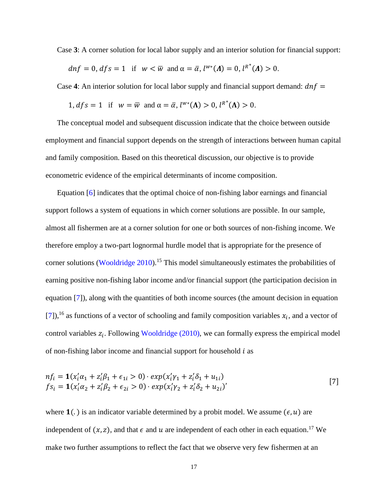Case **3**: A corner solution for local labor supply and an interior solution for financial support:

$$
dnf = 0, dfs = 1
$$
 if  $w < \overline{w}$  and  $\alpha = \overline{\alpha}, l^{w*}(A) = 0, l^{R*}(A) > 0$ .

Case 4: An interior solution for local labor supply and financial support demand:  $dnf =$ 

1, 
$$
dfs = 1
$$
 if  $w = \overline{w}$  and  $\alpha = \overline{\alpha}$ ,  $l^{w*}(\Lambda) > 0$ ,  $l^{R*}(\Lambda) > 0$ .

The conceptual model and subsequent discussion indicate that the choice between outside employment and financial support depends on the strength of interactions between human capital and family composition. Based on this theoretical discussion, our objective is to provide econometric evidence of the empirical determinants of income composition.

Equation [\[6\]](#page-13-0) indicates that the optimal choice of non-fishing labor earnings and financial support follows a system of equations in which corner solutions are possible. In our sample, almost all fishermen are at a corner solution for one or both sources of non-fishing income. We therefore employ a two-part lognormal hurdle model that is appropriate for the presence of corner solutions [\(Wooldridge 2010\)](#page-39-4).<sup>15</sup> This model simultaneously estimates the probabilities of earning positive non-fishing labor income and/or financial support (the participation decision in equation [\[7\]](#page-16-0)), along with the quantities of both income sources (the amount decision in equation [\[7\]](#page-16-0)),<sup>16</sup> as functions of a vector of schooling and family composition variables  $x_i$ , and a vector of control variables  $z_i$ . Following [Wooldridge \(2010\),](#page-39-4) we can formally express the empirical model of non-fishing labor income and financial support for household  $i$  as

<span id="page-16-0"></span>
$$
nf_i = \mathbf{1}(x_i'\alpha_1 + z_i'\beta_1 + \epsilon_{1i} > 0) \cdot exp(x_i'\gamma_1 + z_i'\delta_1 + u_{1i})
$$
  
\n
$$
fs_i = \mathbf{1}(x_i'\alpha_2 + z_i'\beta_2 + \epsilon_{2i} > 0) \cdot exp(x_i'\gamma_2 + z_i'\delta_2 + u_{2i})'
$$
\n[7]

where  $\mathbf{1}(.)$  is an indicator variable determined by a probit model. We assume  $(\epsilon, u)$  are independent of  $(x, z)$ , and that  $\epsilon$  and  $u$  are independent of each other in each equation.<sup>17</sup> We make two further assumptions to reflect the fact that we observe very few fishermen at an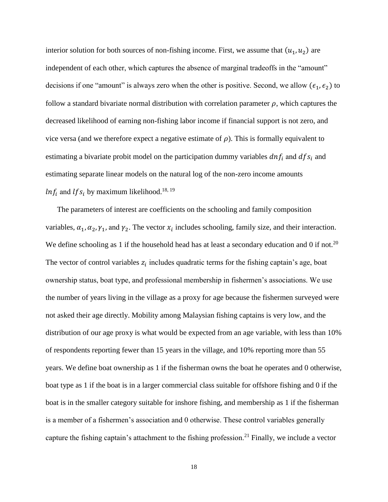interior solution for both sources of non-fishing income. First, we assume that  $(u_1, u_2)$  are independent of each other, which captures the absence of marginal tradeoffs in the "amount" decisions if one "amount" is always zero when the other is positive. Second, we allow ( $\epsilon_1$ ,  $\epsilon_2$ ) to follow a standard bivariate normal distribution with correlation parameter  $\rho$ , which captures the decreased likelihood of earning non-fishing labor income if financial support is not zero, and vice versa (and we therefore expect a negative estimate of  $\rho$ ). This is formally equivalent to estimating a bivariate probit model on the participation dummy variables  $dnf_i$  and  $dfs_i$  and estimating separate linear models on the natural log of the non-zero income amounts  $ln f_i$  and  $lfs_i$  by maximum likelihood.<sup>18, 19</sup>

The parameters of interest are coefficients on the schooling and family composition variables,  $\alpha_1, \alpha_2, \gamma_1$ , and  $\gamma_2$ . The vector  $x_i$  includes schooling, family size, and their interaction. We define schooling as 1 if the household head has at least a secondary education and 0 if not.<sup>20</sup> The vector of control variables  $z_i$  includes quadratic terms for the fishing captain's age, boat ownership status, boat type, and professional membership in fishermen's associations. We use the number of years living in the village as a proxy for age because the fishermen surveyed were not asked their age directly. Mobility among Malaysian fishing captains is very low, and the distribution of our age proxy is what would be expected from an age variable, with less than 10% of respondents reporting fewer than 15 years in the village, and 10% reporting more than 55 years. We define boat ownership as 1 if the fisherman owns the boat he operates and 0 otherwise, boat type as 1 if the boat is in a larger commercial class suitable for offshore fishing and 0 if the boat is in the smaller category suitable for inshore fishing, and membership as 1 if the fisherman is a member of a fishermen's association and 0 otherwise. These control variables generally capture the fishing captain's attachment to the fishing profession.<sup>21</sup> Finally, we include a vector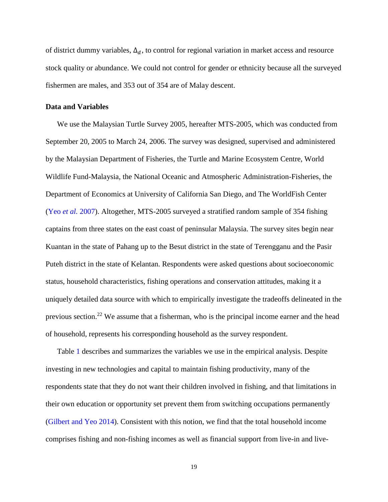of district dummy variables,  $\Delta_d$ , to control for regional variation in market access and resource stock quality or abundance. We could not control for gender or ethnicity because all the surveyed fishermen are males, and 353 out of 354 are of Malay descent.

#### **Data and Variables**

We use the Malaysian Turtle Survey 2005, hereafter MTS-2005, which was conducted from September 20, 2005 to March 24, 2006. The survey was designed, supervised and administered by the Malaysian Department of Fisheries, the Turtle and Marine Ecosystem Centre, World Wildlife Fund-Malaysia, the National Oceanic and Atmospheric Administration-Fisheries, the Department of Economics at University of California San Diego, and The WorldFish Center (Yeo *et al.* [2007\)](#page-40-4). Altogether, MTS-2005 surveyed a stratified random sample of 354 fishing captains from three states on the east coast of peninsular Malaysia. The survey sites begin near Kuantan in the state of Pahang up to the Besut district in the state of Terengganu and the Pasir Puteh district in the state of Kelantan. Respondents were asked questions about socioeconomic status, household characteristics, fishing operations and conservation attitudes, making it a uniquely detailed data source with which to empirically investigate the tradeoffs delineated in the previous section.<sup>22</sup> We assume that a fisherman, who is the principal income earner and the head of household, represents his corresponding household as the survey respondent.

Table [1](#page-41-0) describes and summarizes the variables we use in the empirical analysis. Despite investing in new technologies and capital to maintain fishing productivity, many of the respondents state that they do not want their children involved in fishing, and that limitations in their own education or opportunity set prevent them from switching occupations permanently [\(Gilbert and Yeo 2014\)](#page-35-6). Consistent with this notion, we find that the total household income comprises fishing and non-fishing incomes as well as financial support from live-in and live-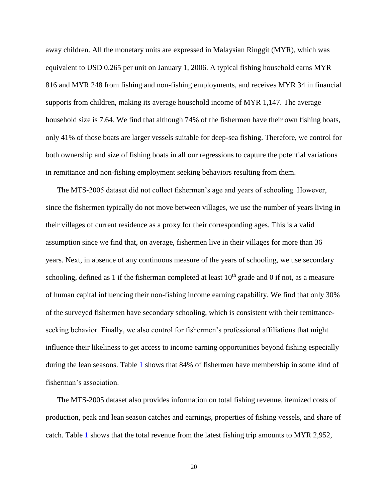away children. All the monetary units are expressed in Malaysian Ringgit (MYR), which was equivalent to USD 0.265 per unit on January 1, 2006. A typical fishing household earns MYR 816 and MYR 248 from fishing and non-fishing employments, and receives MYR 34 in financial supports from children, making its average household income of MYR 1,147. The average household size is 7.64. We find that although 74% of the fishermen have their own fishing boats, only 41% of those boats are larger vessels suitable for deep-sea fishing. Therefore, we control for both ownership and size of fishing boats in all our regressions to capture the potential variations in remittance and non-fishing employment seeking behaviors resulting from them.

The MTS-2005 dataset did not collect fishermen's age and years of schooling. However, since the fishermen typically do not move between villages, we use the number of years living in their villages of current residence as a proxy for their corresponding ages. This is a valid assumption since we find that, on average, fishermen live in their villages for more than 36 years. Next, in absence of any continuous measure of the years of schooling, we use secondary schooling, defined as 1 if the fisherman completed at least  $10<sup>th</sup>$  grade and 0 if not, as a measure of human capital influencing their non-fishing income earning capability. We find that only 30% of the surveyed fishermen have secondary schooling, which is consistent with their remittanceseeking behavior. Finally, we also control for fishermen's professional affiliations that might influence their likeliness to get access to income earning opportunities beyond fishing especially during the lean seasons. Table [1](#page-41-0) shows that 84% of fishermen have membership in some kind of fisherman's association.

The MTS-2005 dataset also provides information on total fishing revenue, itemized costs of production, peak and lean season catches and earnings, properties of fishing vessels, and share of catch. Table [1](#page-41-0) shows that the total revenue from the latest fishing trip amounts to MYR 2,952,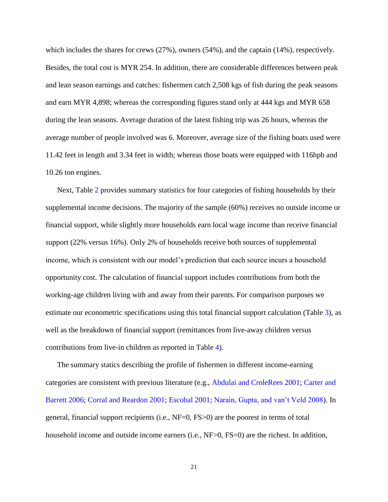which includes the shares for crews (27%), owners (54%), and the captain (14%), respectively. Besides, the total cost is MYR 254. In addition, there are considerable differences between peak and lean season earnings and catches: fishermen catch 2,508 kgs of fish during the peak seasons and earn MYR 4,898; whereas the corresponding figures stand only at 444 kgs and MYR 658 during the lean seasons. Average duration of the latest fishing trip was 26 hours, whereas the average number of people involved was 6. Moreover, average size of the fishing boats used were 11.42 feet in length and 3.34 feet in width; whereas those boats were equipped with 116hpb and 10.26 ton engines.

Next, Table [2](#page-42-0) provides summary statistics for four categories of fishing households by their supplemental income decisions. The majority of the sample (60%) receives no outside income or financial support, while slightly more households earn local wage income than receive financial support (22% versus 16%). Only 2% of households receive both sources of supplemental income, which is consistent with our model's prediction that each source incurs a household opportunity cost. The calculation of financial support includes contributions from both the working-age children living with and away from their parents. For comparison purposes we estimate our econometric specifications using this total financial support calculation (Table [3\)](#page-43-0), as well as the breakdown of financial support (remittances from live-away children versus contributions from live-in children as reported in Table [4\)](#page-44-0).

The summary statics describing the profile of fishermen in different income-earning categories are consistent with previous literature (e.g., [Abdulai and CroleRees 2001;](#page-32-1) [Carter and](#page-33-5)  [Barrett 2006;](#page-33-5) [Corral and Reardon 2001;](#page-34-4) [Escobal 2001;](#page-35-2) [Narain, Gupta, and van't Veld 2008\)](#page-37-6). In general, financial support recipients (i.e., NF=0, FS>0) are the poorest in terms of total household income and outside income earners (i.e., NF>0, FS=0) are the richest. In addition,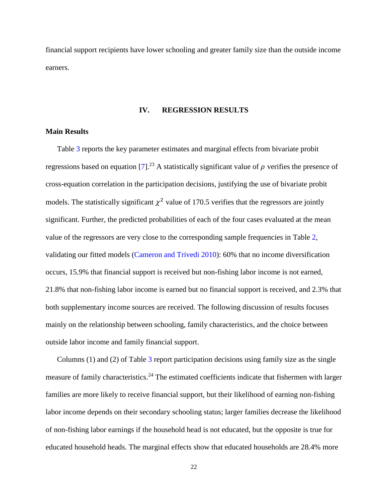financial support recipients have lower schooling and greater family size than the outside income earners.

#### **IV. REGRESSION RESULTS**

#### **Main Results**

Table [3](#page-43-0) reports the key parameter estimates and marginal effects from bivariate probit regressions based on equation [\[7\]](#page-16-0).<sup>23</sup> A statistically significant value of  $\rho$  verifies the presence of cross-equation correlation in the participation decisions, justifying the use of bivariate probit models. The statistically significant  $\chi^2$  value of 170.5 verifies that the regressors are jointly significant. Further, the predicted probabilities of each of the four cases evaluated at the mean value of the regressors are very close to the corresponding sample frequencies in Table [2,](#page-42-0) validating our fitted models [\(Cameron and Trivedi 2010\)](#page-33-6): 60% that no income diversification occurs, 15.9% that financial support is received but non-fishing labor income is not earned, 21.8% that non-fishing labor income is earned but no financial support is received, and 2.3% that both supplementary income sources are received. The following discussion of results focuses mainly on the relationship between schooling, family characteristics, and the choice between outside labor income and family financial support.

Columns (1) and (2) of Table [3](#page-43-0) report participation decisions using family size as the single measure of family characteristics.<sup>24</sup> The estimated coefficients indicate that fishermen with larger families are more likely to receive financial support, but their likelihood of earning non-fishing labor income depends on their secondary schooling status; larger families decrease the likelihood of non-fishing labor earnings if the household head is not educated, but the opposite is true for educated household heads. The marginal effects show that educated households are 28.4% more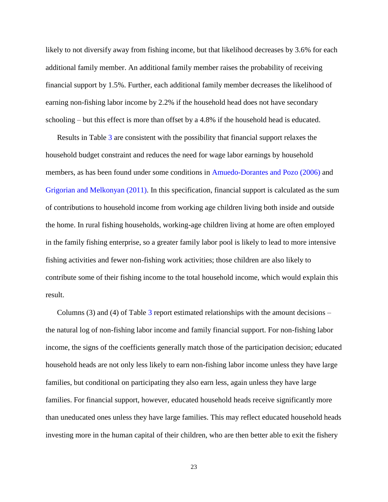likely to not diversify away from fishing income, but that likelihood decreases by 3.6% for each additional family member. An additional family member raises the probability of receiving financial support by 1.5%. Further, each additional family member decreases the likelihood of earning non-fishing labor income by 2.2% if the household head does not have secondary schooling – but this effect is more than offset by a 4.8% if the household head is educated.

Results in Table [3](#page-43-0) are consistent with the possibility that financial support relaxes the household budget constraint and reduces the need for wage labor earnings by household members, as has been found under some conditions in [Amuedo-Dorantes and Pozo \(2006\)](#page-32-3) and [Grigorian and Melkonyan \(2011\).](#page-35-3) In this specification, financial support is calculated as the sum of contributions to household income from working age children living both inside and outside the home. In rural fishing households, working-age children living at home are often employed in the family fishing enterprise, so a greater family labor pool is likely to lead to more intensive fishing activities and fewer non-fishing work activities; those children are also likely to contribute some of their fishing income to the total household income, which would explain this result.

Columns  $(3)$  and  $(4)$  of Table [3](#page-43-0) report estimated relationships with the amount decisions – the natural log of non-fishing labor income and family financial support. For non-fishing labor income, the signs of the coefficients generally match those of the participation decision; educated household heads are not only less likely to earn non-fishing labor income unless they have large families, but conditional on participating they also earn less, again unless they have large families. For financial support, however, educated household heads receive significantly more than uneducated ones unless they have large families. This may reflect educated household heads investing more in the human capital of their children, who are then better able to exit the fishery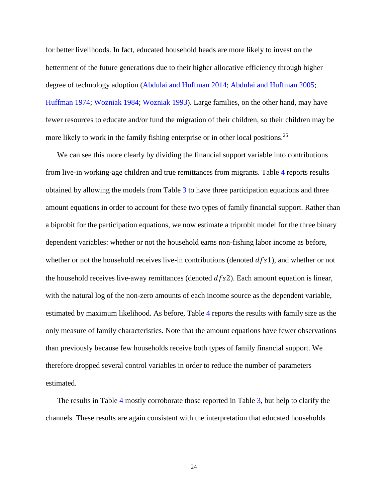for better livelihoods. In fact, educated household heads are more likely to invest on the betterment of the future generations due to their higher allocative efficiency through higher degree of technology adoption [\(Abdulai and Huffman 2014;](#page-32-5) [Abdulai and Huffman 2005;](#page-32-6) [Huffman 1974;](#page-36-4) [Wozniak 1984;](#page-40-5) [Wozniak 1993\)](#page-40-6). Large families, on the other hand, may have fewer resources to educate and/or fund the migration of their children, so their children may be more likely to work in the family fishing enterprise or in other local positions.<sup>25</sup>

We can see this more clearly by dividing the financial support variable into contributions from live-in working-age children and true remittances from migrants. Table [4](#page-44-0) reports results obtained by allowing the models from Table [3](#page-43-0) to have three participation equations and three amount equations in order to account for these two types of family financial support. Rather than a biprobit for the participation equations, we now estimate a triprobit model for the three binary dependent variables: whether or not the household earns non-fishing labor income as before, whether or not the household receives live-in contributions (denoted  $dfs1$ ), and whether or not the household receives live-away remittances (denoted  $dfs2$ ). Each amount equation is linear, with the natural log of the non-zero amounts of each income source as the dependent variable, estimated by maximum likelihood. As before, Table [4](#page-44-0) reports the results with family size as the only measure of family characteristics. Note that the amount equations have fewer observations than previously because few households receive both types of family financial support. We therefore dropped several control variables in order to reduce the number of parameters estimated.

The results in Table [4](#page-44-0) mostly corroborate those reported in Table [3,](#page-43-0) but help to clarify the channels. These results are again consistent with the interpretation that educated households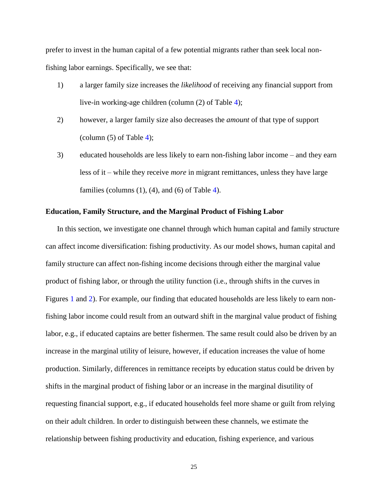prefer to invest in the human capital of a few potential migrants rather than seek local nonfishing labor earnings. Specifically, we see that:

- 1) a larger family size increases the *likelihood* of receiving any financial support from live-in working-age children (column (2) of Table [4\)](#page-44-0);
- 2) however, a larger family size also decreases the *amount* of that type of support (column  $(5)$  of Table [4\)](#page-44-0);
- 3) educated households are less likely to earn non-fishing labor income and they earn less of it – while they receive *more* in migrant remittances, unless they have large families (columns  $(1)$ ,  $(4)$ , and  $(6)$  of Table [4\)](#page-44-0).

#### **Education, Family Structure, and the Marginal Product of Fishing Labor**

In this section, we investigate one channel through which human capital and family structure can affect income diversification: fishing productivity. As our model shows, human capital and family structure can affect non-fishing income decisions through either the marginal value product of fishing labor, or through the utility function (i.e., through shifts in the curves in Figures [1](#page-46-0) and [2\)](#page-46-1). For example, our finding that educated households are less likely to earn nonfishing labor income could result from an outward shift in the marginal value product of fishing labor, e.g., if educated captains are better fishermen. The same result could also be driven by an increase in the marginal utility of leisure, however, if education increases the value of home production. Similarly, differences in remittance receipts by education status could be driven by shifts in the marginal product of fishing labor or an increase in the marginal disutility of requesting financial support, e.g., if educated households feel more shame or guilt from relying on their adult children. In order to distinguish between these channels, we estimate the relationship between fishing productivity and education, fishing experience, and various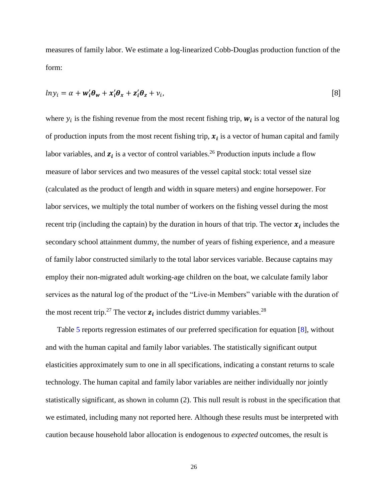measures of family labor. We estimate a log-linearized Cobb-Douglas production function of the form:

<span id="page-25-0"></span>
$$
ln y_i = \alpha + \mathbf{w}_i' \boldsymbol{\theta}_w + \mathbf{x}_i' \boldsymbol{\theta}_x + \mathbf{z}_i' \boldsymbol{\theta}_z + v_i,
$$
 [8]

where  $y_i$  is the fishing revenue from the most recent fishing trip,  $w_i$  is a vector of the natural log of production inputs from the most recent fishing trip,  $x_i$  is a vector of human capital and family labor variables, and  $z_i$  is a vector of control variables.<sup>26</sup> Production inputs include a flow measure of labor services and two measures of the vessel capital stock: total vessel size (calculated as the product of length and width in square meters) and engine horsepower. For labor services, we multiply the total number of workers on the fishing vessel during the most recent trip (including the captain) by the duration in hours of that trip. The vector  $x_i$  includes the secondary school attainment dummy, the number of years of fishing experience, and a measure of family labor constructed similarly to the total labor services variable. Because captains may employ their non-migrated adult working-age children on the boat, we calculate family labor services as the natural log of the product of the "Live-in Members" variable with the duration of the most recent trip.<sup>27</sup> The vector  $z_i$  includes district dummy variables.<sup>28</sup>

Table [5](#page-45-0) reports regression estimates of our preferred specification for equation [\[8\]](#page-25-0), without and with the human capital and family labor variables. The statistically significant output elasticities approximately sum to one in all specifications, indicating a constant returns to scale technology. The human capital and family labor variables are neither individually nor jointly statistically significant, as shown in column (2). This null result is robust in the specification that we estimated, including many not reported here. Although these results must be interpreted with caution because household labor allocation is endogenous to *expected* outcomes, the result is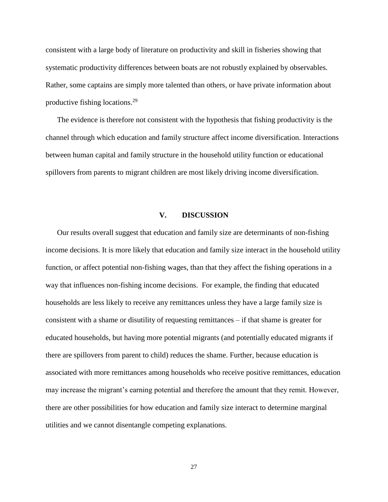consistent with a large body of literature on productivity and skill in fisheries showing that systematic productivity differences between boats are not robustly explained by observables. Rather, some captains are simply more talented than others, or have private information about productive fishing locations.<sup>29</sup>

The evidence is therefore not consistent with the hypothesis that fishing productivity is the channel through which education and family structure affect income diversification. Interactions between human capital and family structure in the household utility function or educational spillovers from parents to migrant children are most likely driving income diversification.

#### **V. DISCUSSION**

Our results overall suggest that education and family size are determinants of non-fishing income decisions. It is more likely that education and family size interact in the household utility function, or affect potential non-fishing wages, than that they affect the fishing operations in a way that influences non-fishing income decisions. For example, the finding that educated households are less likely to receive any remittances unless they have a large family size is consistent with a shame or disutility of requesting remittances – if that shame is greater for educated households, but having more potential migrants (and potentially educated migrants if there are spillovers from parent to child) reduces the shame. Further, because education is associated with more remittances among households who receive positive remittances, education may increase the migrant's earning potential and therefore the amount that they remit. However, there are other possibilities for how education and family size interact to determine marginal utilities and we cannot disentangle competing explanations.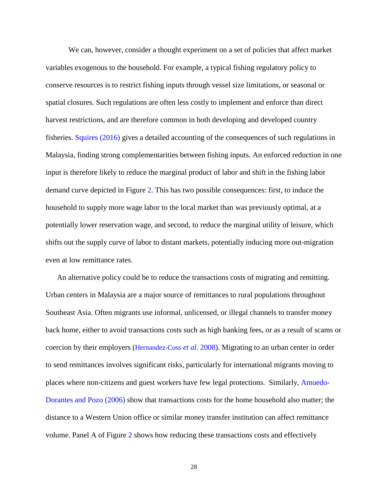We can, however, consider a thought experiment on a set of policies that affect market variables exogenous to the household. For example, a typical fishing regulatory policy to conserve resources is to restrict fishing inputs through vessel size limitations, or seasonal or spatial closures. Such regulations are often less costly to implement and enforce than direct harvest restrictions, and are therefore common in both developing and developed country fisheries. [Squires \(2016\)](#page-38-5) gives a detailed accounting of the consequences of such regulations in Malaysia, finding strong complementarities between fishing inputs. An enforced reduction in one input is therefore likely to reduce the marginal product of labor and shift in the fishing labor demand curve depicted in Figure [2.](#page-46-1) This has two possible consequences: first, to induce the household to supply more wage labor to the local market than was previously optimal, at a potentially lower reservation wage, and second, to reduce the marginal utility of leisure, which shifts out the supply curve of labor to distant markets, potentially inducing more out-migration even at low remittance rates.

An alternative policy could be to reduce the transactions costs of migrating and remitting. Urban centers in Malaysia are a major source of remittances to rural populations throughout Southeast Asia. Often migrants use informal, unlicensed, or illegal channels to transfer money back home, either to avoid transactions costs such as high banking fees, or as a result of scams or coercion by their employers ([Hernandez-Coss](#page-36-5) *et al.* 2008). Migrating to an urban center in order to send remittances involves significant risks, particularly for international migrants moving to places where non-citizens and guest workers have few legal protections. Similarly, [Amuedo-](#page-32-3)[Dorantes and Pozo \(2006\)](#page-32-3) show that transactions costs for the home household also matter; the distance to a Western Union office or similar money transfer institution can affect remittance volume. Panel A of Figure [2](#page-46-1) shows how reducing these transactions costs and effectively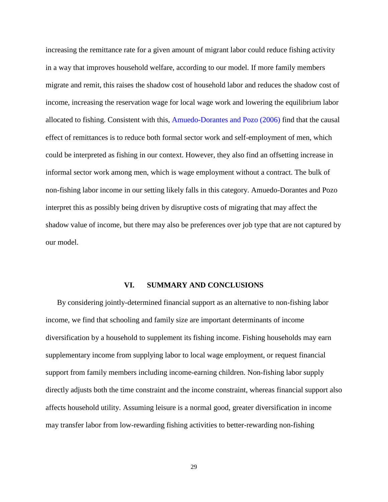increasing the remittance rate for a given amount of migrant labor could reduce fishing activity in a way that improves household welfare, according to our model. If more family members migrate and remit, this raises the shadow cost of household labor and reduces the shadow cost of income, increasing the reservation wage for local wage work and lowering the equilibrium labor allocated to fishing. Consistent with this, [Amuedo-Dorantes and Pozo \(2006\)](#page-32-3) find that the causal effect of remittances is to reduce both formal sector work and self-employment of men, which could be interpreted as fishing in our context. However, they also find an offsetting increase in informal sector work among men, which is wage employment without a contract. The bulk of non-fishing labor income in our setting likely falls in this category. Amuedo-Dorantes and Pozo interpret this as possibly being driven by disruptive costs of migrating that may affect the shadow value of income, but there may also be preferences over job type that are not captured by our model.

#### **VI. SUMMARY AND CONCLUSIONS**

By considering jointly-determined financial support as an alternative to non-fishing labor income, we find that schooling and family size are important determinants of income diversification by a household to supplement its fishing income. Fishing households may earn supplementary income from supplying labor to local wage employment, or request financial support from family members including income-earning children. Non-fishing labor supply directly adjusts both the time constraint and the income constraint, whereas financial support also affects household utility. Assuming leisure is a normal good, greater diversification in income may transfer labor from low-rewarding fishing activities to better-rewarding non-fishing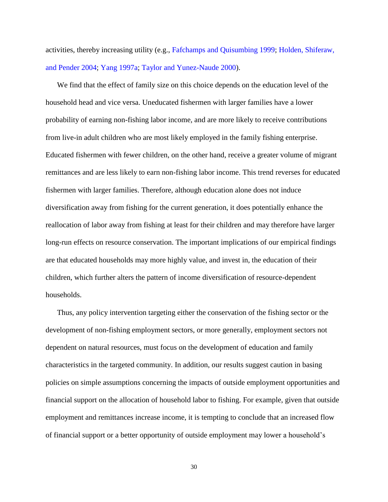activities, thereby increasing utility (e.g., [Fafchamps and Quisumbing 1999;](#page-35-1) [Holden, Shiferaw,](#page-36-1)  [and Pender](#page-36-1) 2004; [Yang 1997a;](#page-40-1) [Taylor and Yunez-Naude 2000\)](#page-39-3).

We find that the effect of family size on this choice depends on the education level of the household head and vice versa. Uneducated fishermen with larger families have a lower probability of earning non-fishing labor income, and are more likely to receive contributions from live-in adult children who are most likely employed in the family fishing enterprise. Educated fishermen with fewer children, on the other hand, receive a greater volume of migrant remittances and are less likely to earn non-fishing labor income. This trend reverses for educated fishermen with larger families. Therefore, although education alone does not induce diversification away from fishing for the current generation, it does potentially enhance the reallocation of labor away from fishing at least for their children and may therefore have larger long-run effects on resource conservation. The important implications of our empirical findings are that educated households may more highly value, and invest in, the education of their children, which further alters the pattern of income diversification of resource-dependent households.

Thus, any policy intervention targeting either the conservation of the fishing sector or the development of non-fishing employment sectors, or more generally, employment sectors not dependent on natural resources, must focus on the development of education and family characteristics in the targeted community. In addition, our results suggest caution in basing policies on simple assumptions concerning the impacts of outside employment opportunities and financial support on the allocation of household labor to fishing. For example, given that outside employment and remittances increase income, it is tempting to conclude that an increased flow of financial support or a better opportunity of outside employment may lower a household's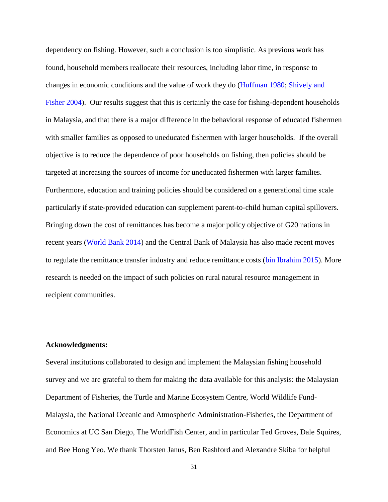dependency on fishing. However, such a conclusion is too simplistic. As previous work has found, household members reallocate their resources, including labor time, in response to changes in economic conditions and the value of work they do [\(Huffman 1980;](#page-36-0) [Shively and](#page-38-6)  [Fisher 2004\)](#page-38-6). Our results suggest that this is certainly the case for fishing-dependent households in Malaysia, and that there is a major difference in the behavioral response of educated fishermen with smaller families as opposed to uneducated fishermen with larger households. If the overall objective is to reduce the dependence of poor households on fishing, then policies should be targeted at increasing the sources of income for uneducated fishermen with larger families. Furthermore, education and training policies should be considered on a generational time scale particularly if state-provided education can supplement parent-to-child human capital spillovers. Bringing down the cost of remittances has become a major policy objective of G20 nations in recent years [\(World Bank 2014\)](#page-39-5) and the Central Bank of Malaysia has also made recent moves to regulate the remittance transfer industry and reduce remittance costs [\(bin Ibrahim 2015\)](#page-33-7). More research is needed on the impact of such policies on rural natural resource management in recipient communities.

#### **Acknowledgments:**

Several institutions collaborated to design and implement the Malaysian fishing household survey and we are grateful to them for making the data available for this analysis: the Malaysian Department of Fisheries, the Turtle and Marine Ecosystem Centre, World Wildlife Fund-Malaysia, the National Oceanic and Atmospheric Administration-Fisheries, the Department of Economics at UC San Diego, The WorldFish Center, and in particular Ted Groves, Dale Squires, and Bee Hong Yeo. We thank [Thorsten Janus,](http://www.uwyo.edu/econfin/people/faculty/thorsten-janus.html) [Ben Rashford](http://www.uwagec.org/facultypages/brashford/RashfordUWYO/Welcome.html) and Alexandre Skiba for helpful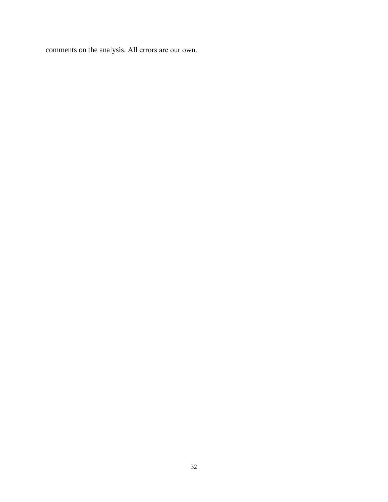comments on the analysis. All errors are our own.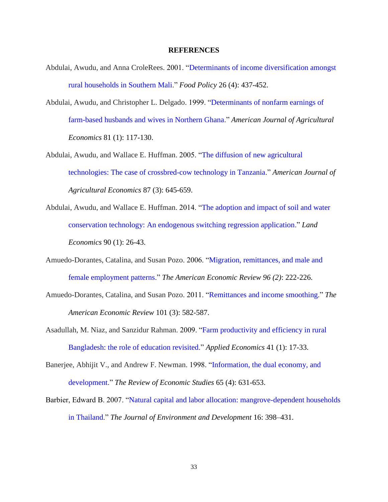#### **REFERENCES**

- <span id="page-32-1"></span>Abdulai, Awudu, and Anna CroleRees. 2001. ["Determinants of income diversification amongst](http://www.sciencedirect.com/science/article/pii/S0306919201000136)  [rural households in Southern Mali.](http://www.sciencedirect.com/science/article/pii/S0306919201000136)" *Food Policy* 26 (4): 437-452.
- <span id="page-32-0"></span>Abdulai, Awudu, and Christopher L. Delgado. 1999. ["Determinants of nonfarm earnings of](http://ajae.oxfordjournals.org/content/81/1/117.short)  [farm-based husbands and wives in Northern Ghana.](http://ajae.oxfordjournals.org/content/81/1/117.short)" *American Journal of Agricultural Economics* 81 (1): 117-130.
- <span id="page-32-6"></span>Abdulai, Awudu, and Wallace E. Huffman. 2005. ["The diffusion of new agricultural](https://academic.oup.com/ajae/article/87/3/645/48468/The-Diffusion-of-New-Agricultural-Technologies-The)  [technologies: The case of crossbred-cow technology in Tanzania.](https://academic.oup.com/ajae/article/87/3/645/48468/The-Diffusion-of-New-Agricultural-Technologies-The)" *American Journal of Agricultural Economics* 87 (3): 645-659.
- <span id="page-32-5"></span>Abdulai, Awudu, and Wallace E. Huffman. 2014. ["The adoption and impact of soil and water](http://le.uwpress.org/content/90/1/26.short)  [conservation technology: An endogenous switching regression application.](http://le.uwpress.org/content/90/1/26.short)" *Land Economics* 90 (1): 26-43.
- <span id="page-32-3"></span>Amuedo-Dorantes, Catalina, and Susan Pozo. 2006. ["Migration, remittances, and male and](http://www.jstor.org/stable/30034646?seq=1#page_scan_tab_contents)  [female employment patterns.](http://www.jstor.org/stable/30034646?seq=1#page_scan_tab_contents)" *The American Economic Review 96 (2)*: 222-226.
- <span id="page-32-7"></span>Amuedo-Dorantes, Catalina, and Susan Pozo. 2011. "Remittances [and income smoothing.](http://www.ingentaconnect.com/content/aea/aer/2011/00000101/00000003/art00106)" *The American Economic Review* 101 (3): 582-587.
- <span id="page-32-2"></span>Asadullah, M. Niaz, and Sanzidur Rahman. 2009. ["Farm productivity and efficiency in rural](http://www.tandfonline.com/doi/abs/10.1080/00036840601019125)  [Bangladesh: the role of education revisited.](http://www.tandfonline.com/doi/abs/10.1080/00036840601019125)" *Applied Economics* 41 (1): 17-33.
- <span id="page-32-8"></span>Banerjee, Abhijit V., and Andrew F. Newman. 1998. ["Information, the dual economy, and](http://restud.oxfordjournals.org/content/65/4/631.short)  [development.](http://restud.oxfordjournals.org/content/65/4/631.short)" *The Review of Economic Studies* 65 (4): 631-653.
- <span id="page-32-4"></span>Barbier, Edward B. 2007. ["Natural capital and labor allocation: mangrove-dependent households](http://jed.sagepub.com/content/16/4/398.short)  [in Thailand.](http://jed.sagepub.com/content/16/4/398.short)" *The Journal of Environment and Development* 16: 398–431.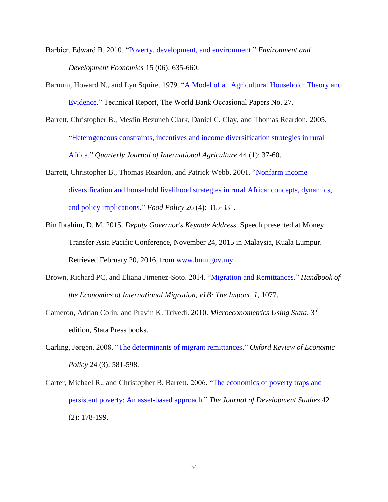- <span id="page-33-3"></span>Barbier, Edward B. 2010. ["Poverty, development, and environment.](http://journals.cambridge.org/action/displayAbstract?fromPage=online&aid=7923023&fileId=S1355770X1000032X)" *Environment and Development Economics* 15 (06): 635-660.
- <span id="page-33-4"></span>Barnum, Howard N., and Lyn Squire. 1979. ["A Model of an Agricultural Household: Theory and](http://www.cabdirect.org/abstracts/19796731008.html;jsessionid=F58FD6CE944FC3BED8E340C2A9FF1A21?freeview=true)  [Evidence.](http://www.cabdirect.org/abstracts/19796731008.html;jsessionid=F58FD6CE944FC3BED8E340C2A9FF1A21?freeview=true)" Technical Report, The World Bank Occasional Papers No. 27.
- <span id="page-33-2"></span>Barrett, Christopher B., Mesfin Bezuneh Clark, Daniel C. Clay, and Thomas Reardon. 2005. ["Heterogeneous constraints, incentives and income diversification strategies in rural](http://pdf.usaid.gov/pdf_docs/PNACL435.pdf)  [Africa.](http://pdf.usaid.gov/pdf_docs/PNACL435.pdf)" *Quarterly Journal of International Agriculture* 44 (1): 37-60.
- <span id="page-33-1"></span>Barrett, Christopher B., Thomas Reardon, and Patrick Webb. 2001. ["Nonfarm income](http://www.sciencedirect.com/science/article/pii/S0306919201000148)  [diversification and household livelihood strategies in rural Africa: concepts, dynamics,](http://www.sciencedirect.com/science/article/pii/S0306919201000148)  [and policy implications.](http://www.sciencedirect.com/science/article/pii/S0306919201000148)" *Food Policy* 26 (4): 315-331.
- <span id="page-33-7"></span>Bin Ibrahim, D. M. 2015. *Deputy Governor's Keynote Address*. Speech presented at Money Transfer Asia Pacific Conference, November 24, 2015 in Malaysia, Kuala Lumpur. Retrieved February 20, 2016, from [www.bnm.gov.my](http://www.bnm.gov.my/)
- <span id="page-33-0"></span>Brown, Richard PC, and Eliana Jimenez-Soto. 2014. ["Migration and Remittances."](https://www.researchgate.net/profile/Richard_Brown39/publication/11118855_Migration_and_Remittances_in_the_South_Pacific_Towards_New_Perspectives/links/53d716c30cf228d363ead27c.pdf) *Handbook of the Economics of International Migration, v1B: The Impact, 1,* 1077.
- <span id="page-33-6"></span>Cameron, Adrian Colin, and Pravin K. Trivedi. 2010. *Microeconometrics Using Stata*. 3rd edition, Stata Press books.
- <span id="page-33-8"></span>Carling, Jørgen. 2008. ["The determinants of migrant remittances.](http://oxrep.oxfordjournals.org/content/24/3/581.short)" *Oxford Review of Economic Policy* 24 (3): 581-598.
- <span id="page-33-5"></span>Carter, Michael R., and Christopher B. Barrett. 2006. ["The economics of poverty traps and](http://www.tandfonline.com/doi/abs/10.1080/00220380500405261#.VSBTpOGKKXc)  [persistent poverty: An asset-based approach.](http://www.tandfonline.com/doi/abs/10.1080/00220380500405261#.VSBTpOGKKXc)" *The Journal of Development Studies* 42 (2): 178-199.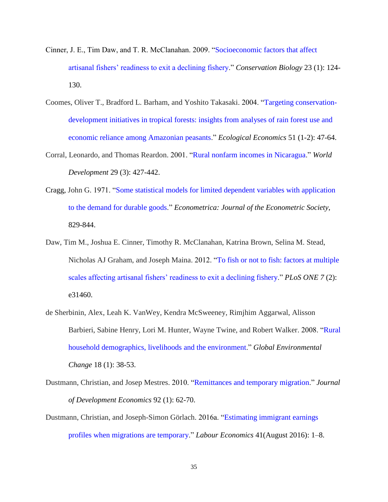- <span id="page-34-1"></span>Cinner, J. E., Tim Daw, and T. R. McClanahan. 2009. ["Socioeconomic factors that affect](http://onlinelibrary.wiley.com/doi/10.1111/j.1523-1739.2008.01041.x/full)  [artisanal fishers' readiness to exit a declining fishery.](http://onlinelibrary.wiley.com/doi/10.1111/j.1523-1739.2008.01041.x/full)" *Conservation Biology* 23 (1): 124- 130.
- <span id="page-34-5"></span>Coomes, Oliver T., Bradford L. Barham, and Yoshito Takasaki. 2004. ["Targeting conservation](http://www.sciencedirect.com/science/article/pii/S0921800904002101)[development initiatives in tropical forests: insights from analyses of rain forest use and](http://www.sciencedirect.com/science/article/pii/S0921800904002101)  [economic reliance among Amazonian peasants.](http://www.sciencedirect.com/science/article/pii/S0921800904002101)" *Ecological Economics* 51 (1-2): 47-64.
- <span id="page-34-4"></span>Corral, Leonardo, and Thomas Reardon. 2001. ["Rural nonfarm incomes in Nicaragua.](http://www.sciencedirect.com/science/article/pii/S0305750X00001091)" *World Development* 29 (3): 427-442.
- <span id="page-34-7"></span>Cragg, John G. 1971. ["Some statistical models for limited dependent variables with application](http://www.jstor.org/stable/1909582)  [to the demand for durable goods.](http://www.jstor.org/stable/1909582)" *Econometrica: Journal of the Econometric Society*, 829-844.
- <span id="page-34-2"></span>Daw, Tim M., Joshua E. Cinner, Timothy R. McClanahan, Katrina Brown, Selina M. Stead, Nicholas AJ Graham, and Joseph Maina. 2012. ["To fish or not to fish: factors at multiple](http://dx.plos.org/10.1371/journal.pone.0031460)  [scales affecting artisanal fishers' readiness to exit a declining fishery.](http://dx.plos.org/10.1371/journal.pone.0031460)" *PLoS ONE 7* (2): e31460.
- <span id="page-34-0"></span>de Sherbinin, Alex, Leah K. VanWey, Kendra McSweeney, Rimjhim Aggarwal, Alisson Barbieri, Sabine Henry, Lori M. Hunter, Wayne Twine, and Robert Walker. 2008. ["Rural](http://www.sciencedirect.com/science/article/pii/S0959378007000398)  [household demographics, livelihoods and the environment.](http://www.sciencedirect.com/science/article/pii/S0959378007000398)" *Global Environmental Change* 18 (1): 38-53.
- <span id="page-34-6"></span>Dustmann, Christian, and Josep Mestres. 2010. ["Remittances and temporary migration.](http://www.sciencedirect.com/science/article/pii/S0304387808001351)" *Journal of Development Economics* 92 (1): 62-70.
- <span id="page-34-3"></span>Dustmann, Christian, and Joseph-Simon Görlach. 2016a. ["Estimating immigrant earnings](http://www.sciencedirect.com/science/article/pii/S0927537116300471)  [profiles when migrations are temporary.](http://www.sciencedirect.com/science/article/pii/S0927537116300471)" *Labour Economics* [41\(](http://www.sciencedirect.com/science/journal/09275371/41/supp/C)August 2016): 1–8.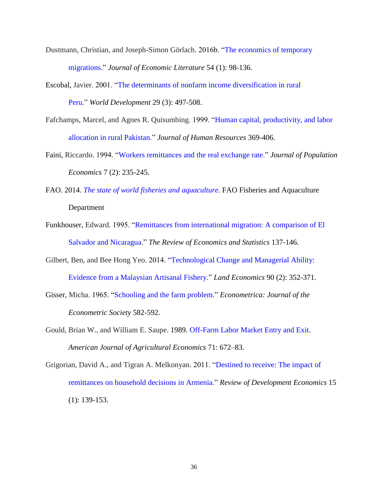- <span id="page-35-5"></span>Dustmann, Christian, and Joseph-Simon Görlach. 2016b. ["The economics of temporary](http://www.ingentaconnect.com/contentone/aea/jel/2016/00000054/00000001/art00003)  [migrations.](http://www.ingentaconnect.com/contentone/aea/jel/2016/00000054/00000001/art00003)" *Journal of Economic Literature* 54 (1): 98-136.
- <span id="page-35-2"></span>Escobal, Javier. 2001. ["The determinants of nonfarm income diversification in rural](http://www.sciencedirect.com/science/article/pii/S0305750X00001042)  [Peru.](http://www.sciencedirect.com/science/article/pii/S0305750X00001042)" *World Development* 29 (3): 497-508.
- <span id="page-35-1"></span>Fafchamps, Marcel, and Agnes R. Quisumbing. 1999. ["Human capital, productivity, and labor](http://www.jstor.org/stable/146350?seq=1#page_scan_tab_contents)  [allocation in rural Pakistan.](http://www.jstor.org/stable/146350?seq=1#page_scan_tab_contents)" *Journal of Human Resources* 369-406.
- <span id="page-35-7"></span>Faini, Riccardo. 1994. ["Workers remittances and the real exchange rate.](http://link.springer.com/article/10.1007/BF00173621)" *Journal of Population Economics* 7 (2): 235-245.
- <span id="page-35-4"></span>FAO. 2014. *[The state of world fisheries and](http://www.fao.org/3/a-i3720e.pdf) aquaculture*. FAO Fisheries and Aquaculture Department
- <span id="page-35-0"></span>Funkhouser, Edward. 1995. ["Remittances from international migration: A comparison of El](http://www.jstor.org/stable/2109999)  [Salvador and Nicaragua.](http://www.jstor.org/stable/2109999)" *The Review of Economics and Statistics* 137-146.
- <span id="page-35-6"></span>Gilbert, Ben, and Bee Hong Yeo. 2014. ["Technological Change and Managerial Ability:](http://le.uwpress.org/content/90/2/352.short)  [Evidence from a Malaysian Artisanal Fishery.](http://le.uwpress.org/content/90/2/352.short)" *Land Economics* 90 (2): 352-371.
- <span id="page-35-8"></span>Gisser, Micha. 1965. ["Schooling and the farm problem.](http://www.jstor.org/stable/1911753?seq=1#page_scan_tab_contents)" *Econometrica: Journal of the Econometric Society* 582-592.
- <span id="page-35-9"></span>Gould, Brian W., and William E. Saupe. 1989. [Off-Farm Labor Market Entry and Exit.](http://ajae.oxfordjournals.org/content/71/4/960.short) *American Journal of Agricultural Economics* 71: 672–83.
- <span id="page-35-3"></span>Grigorian, David A., and Tigran A. Melkonyan. 2011. ["Destined to receive: The impact of](http://onlinelibrary.wiley.com/doi/10.1111/j.1467-9361.2010.00598.x/full)  [remittances on household decisions in Armenia.](http://onlinelibrary.wiley.com/doi/10.1111/j.1467-9361.2010.00598.x/full)" *Review of Development Economics* 15 (1): 139-153.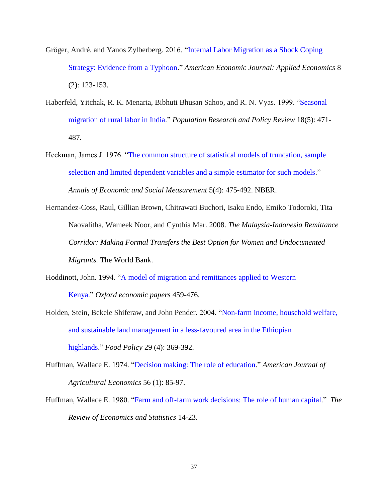- <span id="page-36-6"></span>Gröger, André, and Yanos Zylberberg. 2016. ["Internal Labor Migration as a Shock Coping](http://www.ingentaconnect.com/contentone/aea/aejae/2016/00000008/00000002/art00005)  [Strategy: Evidence from a Typhoon.](http://www.ingentaconnect.com/contentone/aea/aejae/2016/00000008/00000002/art00005)" *American Economic Journal: Applied Economics* 8 (2): 123-153.
- <span id="page-36-3"></span>Haberfeld, Yitchak, R. K. Menaria, Bibhuti Bhusan Sahoo, and R. N. Vyas. 1999. ["Seasonal](http://link.springer.com/article/10.1023/A:1006363628308)  [migration of rural labor in India.](http://link.springer.com/article/10.1023/A:1006363628308)" *Population Research and Policy Review* 18(5): 471- 487.
- <span id="page-36-7"></span>Heckman, James J. 1976. ["The common structure of statistical models of truncation, sample](http://www.nber.org/chapters/c10491.pdf)  [selection and limited dependent variables and a simple estimator for such models.](http://www.nber.org/chapters/c10491.pdf)" *Annals of Economic and Social Measurement* 5(4): 475-492. NBER.
- <span id="page-36-5"></span>Hernandez-Coss, Raul, Gillian Brown, Chitrawati Buchori, Isaku Endo, Emiko Todoroki, Tita Naovalitha, Wameek Noor, and Cynthia Mar. 2008. *The Malaysia-Indonesia Remittance Corridor: Making Formal Transfers the Best Option for Women and Undocumented Migrants.* The World Bank.
- <span id="page-36-2"></span>Hoddinott, John. 1994. ["A model of migration and remittances applied to Western](http://www.jstor.org/stable/2663576)  [Kenya.](http://www.jstor.org/stable/2663576)" *Oxford economic papers* 459-476.
- <span id="page-36-1"></span>Holden, Stein, Bekele Shiferaw, and John Pender. 2004. ["Non-farm income, household welfare,](http://www.sciencedirect.com/science/article/pii/S0306919204000466)  [and sustainable land management in a less-favoured area in the Ethiopian](http://www.sciencedirect.com/science/article/pii/S0306919204000466)  [highlands.](http://www.sciencedirect.com/science/article/pii/S0306919204000466)" *Food Policy* 29 (4): 369-392.
- <span id="page-36-4"></span>Huffman, Wallace E. 1974. ["Decision making: The role of education.](https://academic.oup.com/ajae/article/56/1/85/143742/Decision-Making-The-Role-of-Education)" *American Journal of Agricultural Economics* 56 (1): 85-97.
- <span id="page-36-0"></span>Huffman, Wallace E. 1980. ["Farm and off-farm work decisions: The role of human capital.](http://www.jstor.org/stable/1924268?seq=1#page_scan_tab_contents)" *The Review of Economics and Statistics* 14-23.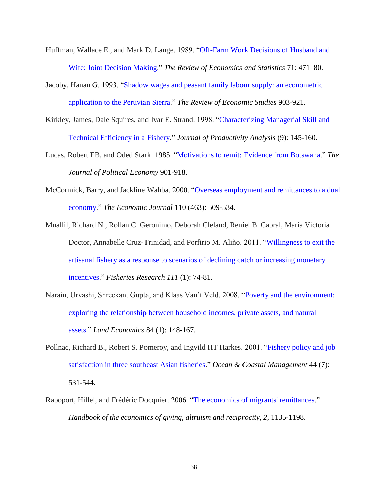- <span id="page-37-3"></span>Huffman, Wallace E., and Mark D. Lange. 1989. ["Off-Farm Work Decisions of Husband and](http://www.jstor.org/stable/1926904?seq=1#page_scan_tab_contents)  [Wife: Joint Decision Making.](http://www.jstor.org/stable/1926904?seq=1#page_scan_tab_contents)" *The Review of Economics and Statistics* 71: 471–80.
- Jacoby, Hanan G. 1993. ["Shadow wages and peasant family labour supply: an econometric](http://www.jstor.org/stable/2298105?seq=1#page_scan_tab_contents)  [application to the Peruvian Sierra.](http://www.jstor.org/stable/2298105?seq=1#page_scan_tab_contents)" *The Review of Economic Studies* 903-921.
- <span id="page-37-7"></span>Kirkley, James, Dale Squires, and Ivar E. Strand. 1998. ["Characterizing Managerial Skill and](http://link.springer.com/article/10.1023/A:1018308617630)  [Technical Efficiency in a Fishery.](http://link.springer.com/article/10.1023/A:1018308617630)" *Journal of Productivity Analysis* (9): 145-160.
- <span id="page-37-0"></span>Lucas, Robert EB, and Oded Stark. 1985. ["Motivations to remit: Evidence from Botswana.](http://www.jstor.org/stable/1833062)" *The Journal of Political Economy* 901-918.
- <span id="page-37-2"></span>McCormick, Barry, and Jackline Wahba. 2000. ["Overseas employment and remittances to a dual](http://onlinelibrary.wiley.com/doi/10.1111/1468-0297.00535/abstract)  [economy.](http://onlinelibrary.wiley.com/doi/10.1111/1468-0297.00535/abstract)" *The Economic Journal* 110 (463): 509-534.
- <span id="page-37-5"></span>Muallil, Richard N., Rollan C. Geronimo, Deborah Cleland, Reniel B. Cabral, Maria Victoria Doctor, Annabelle Cruz-Trinidad, and Porfirio M. Aliño. 2011. ["Willingness to exit the](http://www.sciencedirect.com/science/article/pii/S016578361100230X)  [artisanal fishery as a response to scenarios of declining catch or increasing monetary](http://www.sciencedirect.com/science/article/pii/S016578361100230X)  [incentives.](http://www.sciencedirect.com/science/article/pii/S016578361100230X)" *Fisheries Research 111* (1): 74-81.
- <span id="page-37-6"></span>Narain, Urvashi, Shreekant Gupta, and Klaas Van't Veld. 2008. ["Poverty and the environment:](http://le.uwpress.org/content/84/1/148.short)  [exploring the relationship between household incomes, private assets, and natural](http://le.uwpress.org/content/84/1/148.short)  [assets.](http://le.uwpress.org/content/84/1/148.short)" *Land Economics* 84 (1): 148-167.
- <span id="page-37-4"></span>Pollnac, Richard B., Robert S. Pomeroy, and Ingvild HT Harkes. 2001. ["Fishery policy and job](http://www.sciencedirect.com/science/article/pii/S0964569101000643)  [satisfaction in three southeast Asian fisheries.](http://www.sciencedirect.com/science/article/pii/S0964569101000643)" *Ocean & Coastal Management* 44 (7): 531-544.
- <span id="page-37-1"></span>Rapoport, Hillel, and Frédéric Docquier. 2006. ["The economics of migrants' remittances.](http://www.sciencedirect.com/science/article/pii/S1574071406020173)" *Handbook of the economics of giving, altruism and reciprocity, 2*, 1135-1198.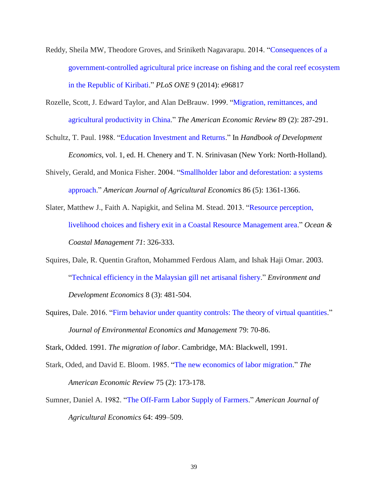- <span id="page-38-2"></span>Reddy, Sheila MW, Theodore Groves, and Sriniketh Nagavarapu. 2014. ["Consequences of a](http://journals.plos.org/plosone/article?id=10.1371/journal.pone.0096817)  [government-controlled agricultural price increase on](http://journals.plos.org/plosone/article?id=10.1371/journal.pone.0096817) fishing and the coral reef ecosystem [in the Republic of Kiribati.](http://journals.plos.org/plosone/article?id=10.1371/journal.pone.0096817)" *PLoS ONE* 9 (2014): e96817
- <span id="page-38-4"></span>Rozelle, Scott, J. Edward Taylor, and Alan DeBrauw. 1999. ["Migration, remittances, and](http://www.jstor.org/stable/117122)  [agricultural productivity in China.](http://www.jstor.org/stable/117122)" *The American Economic Review* 89 (2): 287-291.
- <span id="page-38-8"></span>Schultz, T. Paul. 1988. ["Education Investment and Returns.](https://scholar.google.com/scholar?q=Education+Investment+and+Returns+Schultz&btnG=&hl=en&as_sdt=0%2C51)" In *Handbook of Development Economics*, vol. 1, ed. H. Chenery and T. N. Srinivasan (New York: North-Holland).
- <span id="page-38-6"></span>Shively, Gerald, and Monica Fisher. 2004. ["Smallholder labor and deforestation: a systems](http://ajae.oxfordjournals.org/content/86/5/1361.short)  [approach.](http://ajae.oxfordjournals.org/content/86/5/1361.short)" *American Journal of Agricultural Economics* 86 (5): 1361-1366.
- <span id="page-38-1"></span>Slater, Matthew J., Faith A. Napigkit, and Selina M. Stead. 2013. ["Resource perception,](http://www.sciencedirect.com/science/article/pii/S096456911200316X)  [livelihood choices and fishery exit in a Coastal Resource Management area.](http://www.sciencedirect.com/science/article/pii/S096456911200316X)" *Ocean & Coastal Management 71*: 326-333.
- <span id="page-38-7"></span>Squires, Dale, R. Quentin Grafton, Mohammed Ferdous Alam, and Ishak Haji Omar. 2003. ["Technical efficiency in the Malaysian gill net artisanal fishery.](http://journals.cambridge.org/action/displayAbstract?fromPage=online&aid=162423&fileId=S1355770X03000263)" *Environment and Development Economics* 8 (3): 481-504.
- <span id="page-38-5"></span>Squires, Dale. 2016. ["Firm behavior under quantity controls: The theory of virtual quantities.](http://www.sciencedirect.com/science/article/pii/S0095069615000406)" *Journal of Environmental Economics and Management* 79: 70-86.

<span id="page-38-3"></span>Stark, Odded. 1991. *The migration of labor*. Cambridge, MA: Blackwell, 1991.

- <span id="page-38-0"></span>Stark, Oded, and David E. Bloom. 1985. ["The new economics of labor migration.](http://www.jstor.org/stable/1805591)" *The American Economic Review* 75 (2): 173-178.
- <span id="page-38-9"></span>Sumner, Daniel A. 1982. ["The Off-Farm Labor Supply of Farmers.](http://ajae.oxfordjournals.org/content/64/3/499.short)" *American Journal of Agricultural Economics* 64: 499–509.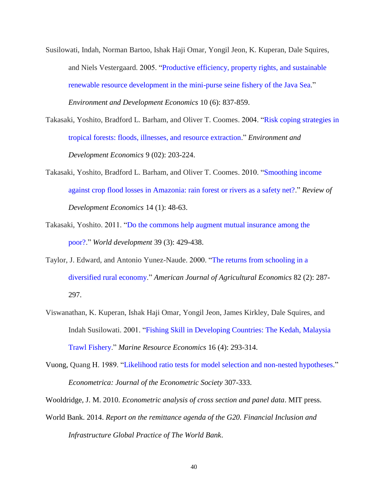- <span id="page-39-7"></span>Susilowati, Indah, Norman Bartoo, Ishak Haji Omar, Yongil Jeon, K. Kuperan, Dale Squires, and Niels Vestergaard. 2005. ["Productive efficiency, property rights, and sustainable](http://journals.cambridge.org/action/displayAbstract?fromPage=online&aid=355259&fileId=S1355770X0500255X)  [renewable resource development in the mini-purse seine fishery of the Java Sea.](http://journals.cambridge.org/action/displayAbstract?fromPage=online&aid=355259&fileId=S1355770X0500255X)" *Environment and Development Economics* 10 (6): 837-859.
- <span id="page-39-1"></span>Takasaki, Yoshito, Bradford L. Barham, and Oliver T. Coomes. 2004. ["Risk coping strategies](https://www.cambridge.org/core/journals/environment-and-development-economics/article/div-classtitlerisk-coping-strategies-in-tropical-forests-floods-illnesses-and-resource-extractiondiv/D5CAA4F4C943BFCD09E48A1D91225232) in [tropical forests: floods, illnesses, and resource extraction.](https://www.cambridge.org/core/journals/environment-and-development-economics/article/div-classtitlerisk-coping-strategies-in-tropical-forests-floods-illnesses-and-resource-extractiondiv/D5CAA4F4C943BFCD09E48A1D91225232)" *Environment and Development Economics* 9 (02): 203-224.
- <span id="page-39-0"></span>Takasaki, Yoshito, Bradford L. Barham, and Oliver T. Coomes. 2010. ["Smoothing income](http://onlinelibrary.wiley.com/doi/10.1111/j.1467-9361.2009.00538.x/full)  [against crop flood losses in Amazonia: rain forest or rivers as a safety net?.](http://onlinelibrary.wiley.com/doi/10.1111/j.1467-9361.2009.00538.x/full)" *Review of Development Economics* 14 (1): 48-63.
- <span id="page-39-2"></span>Takasaki, Yoshito. 2011. ["Do the commons help augment mutual insurance among the](http://www.sciencedirect.com/science/article/pii/S0305750X10001889)  [poor?.](http://www.sciencedirect.com/science/article/pii/S0305750X10001889)" *World development* 39 (3): 429-438.
- <span id="page-39-3"></span>Taylor, J. Edward, and Antonio Yunez-Naude. 2000. ["The returns from schooling in a](http://ajae.oxfordjournals.org/content/82/2/287.short)  [diversified rural economy.](http://ajae.oxfordjournals.org/content/82/2/287.short)" *American Journal of Agricultural Economics* 82 (2): 287- 297.
- <span id="page-39-6"></span>Viswanathan, K. Kuperan, Ishak Haji Omar, Yongil Jeon, James Kirkley, Dale Squires, and Indah Susilowati. 2001. ["Fishing Skill in Developing Countries: The Kedah, Malaysia](http://www.jstor.org/stable/42629339)  [Trawl Fishery.](http://www.jstor.org/stable/42629339)" *Marine Resource Economics* 16 (4): 293-314.
- <span id="page-39-8"></span>Vuong, Quang H. 1989. ["Likelihood ratio tests for model selection and non-nested hypotheses.](http://www.jstor.org/stable/1912557)" *Econometrica: Journal of the Econometric Society* 307-333.
- <span id="page-39-4"></span>Wooldridge, J. M. 2010. *Econometric analysis of cross section and panel data*. MIT press.
- <span id="page-39-5"></span>World Bank. 2014. *Report on the remittance agenda of the G20. Financial Inclusion and Infrastructure Global Practice of The World Bank*.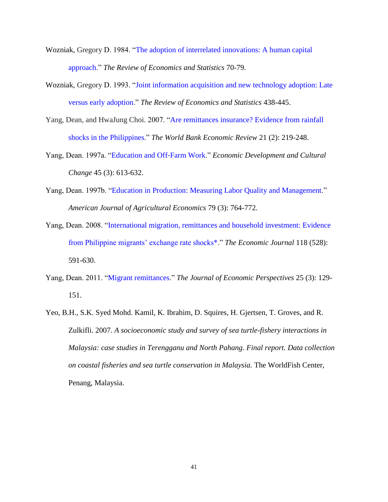- <span id="page-40-5"></span>Wozniak, Gregory D. 1984. ["The adoption of interrelated innovations: A human capital](http://www.jstor.org/stable/1924697)  [approach.](http://www.jstor.org/stable/1924697)" *The Review of Economics and Statistics* 70-79.
- <span id="page-40-6"></span>Wozniak, Gregory D. 1993. ["Joint information acquisition and new technology adoption: Late](http://www.jstor.org/stable/2109457?seq=1#page_scan_tab_contents)  [versus early adoption.](http://www.jstor.org/stable/2109457?seq=1#page_scan_tab_contents)" *The Review of Economics and Statistics* 438-445.
- <span id="page-40-7"></span>Yang, Dean, and HwaJung Choi. 2007. ["Are remittances insurance? Evidence from rainfall](http://wber.oxfordjournals.org/content/21/2/219.short)  [shocks in the Philippines.](http://wber.oxfordjournals.org/content/21/2/219.short)" *The World Bank Economic Review* 21 (2): 219-248.
- <span id="page-40-1"></span>Yang, Dean. 1997a. ["Education and Off](http://www.jstor.org/stable/10.1086/452293)‐Farm Work." *Economic Development and Cultural Change* 45 (3): 613-632.
- <span id="page-40-2"></span>Yang, Dean. 1997b. ["Education in Production: Measuring Labor Quality and Management.](http://ajae.oxfordjournals.org/content/79/3/764.short)" *American Journal of Agricultural Economics* 79 (3): 764-772.
- <span id="page-40-3"></span>Yang, Dean. 2008. ["International migration, remittances and household investment: Evidence](http://onlinelibrary.wiley.com/doi/10.1111/j.1468-0297.2008.02134.x/full)  [from Philippine migrants' exchange rate shocks\\*.](http://onlinelibrary.wiley.com/doi/10.1111/j.1468-0297.2008.02134.x/full)" *The Economic Journal* 118 (528): 591-630.
- <span id="page-40-0"></span>Yang, Dean. 2011. ["Migrant remittances.](http://www.ingentaconnect.com/content/aea/jep/2011/00000025/00000003/art00007)" *The Journal of Economic Perspectives* 25 (3): 129- 151.
- <span id="page-40-4"></span>Yeo, B.H., S.K. Syed Mohd. Kamil, K. Ibrahim, D. Squires, H. Gjertsen, T. Groves, and R. Zulkifli. 2007. *A socioeconomic study and survey of sea turtle-fishery interactions in Malaysia: case studies in Terengganu and North Pahang*. *Final report. Data collection on coastal fisheries and sea turtle conservation in Malaysia.* The WorldFish Center, Penang, Malaysia.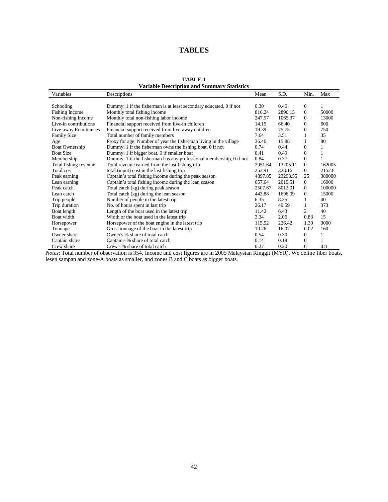# **TABLES**

<span id="page-41-0"></span>

| variable description and Summary Statistics |                                                                     |         |          |              |        |  |
|---------------------------------------------|---------------------------------------------------------------------|---------|----------|--------------|--------|--|
| Variables                                   | Descriptions                                                        | Mean    | S.D.     | Min.         | Max    |  |
|                                             |                                                                     |         |          |              |        |  |
| Schooling                                   | Dummy: 1 if the fisherman is at least secondary educated, 0 if not  | 0.30    | 0.46     | $\theta$     |        |  |
| Fishing Income                              | Monthly total fishing income                                        | 816.24  | 2896.15  | $\Omega$     | 50000  |  |
| Non-fishing Income                          | Monthly total non-fishing labor income                              | 247.97  | 1065.37  | $\Omega$     | 13000  |  |
| Live-in contributions                       | Financial support received from live-in children                    | 14.15   | 66.40    | $\Omega$     | 600    |  |
| Live-away Remittances                       | Financial support received from live-away children                  | 19.39   | 75.75    | $\Omega$     | 750    |  |
| <b>Family Size</b>                          | Total number of family members                                      | 7.64    | 3.51     |              | 35     |  |
| Age                                         | Proxy for age: Number of year the fisherman living in the village   | 36.46   | 15.88    |              | 80     |  |
| <b>Boat Ownership</b>                       | Dummy: 1 if the fisherman owns the fishing boat, 0 if not           | 0.74    | 0.44     | $\Omega$     |        |  |
| <b>Boat Size</b>                            | Dummy: 1 if bigger boat, 0 if smaller boat                          | 0.41    | 0.49     | $\Omega$     |        |  |
| Membership                                  | Dummy: 1 if the fisherman has any professional membership, 0 if not | 0.84    | 0.37     | $\Omega$     |        |  |
| Total fishing revenue                       | Total revenue earned from the last fishing trip                     | 2951.64 | 12205.11 | $\Omega$     | 162005 |  |
| Total cost                                  | total (input) cost in the last fishing trip                         | 253.91  | 328.16   | $\mathbf{0}$ | 2152.8 |  |
| Peak earning                                | Captain's total fishing income during the peak season               | 4897.85 | 23293.55 | 25           | 380000 |  |
| Lean earning                                | Captain's total fishing income during the lean season               | 657.64  | 2019.51  | $\Omega$     | 16000  |  |
| Peak catch                                  | Total catch (kg) during peak season                                 | 2507.67 | 8012.01  | $\theta$     | 100000 |  |
| Lean catch                                  | Total catch (kg) during the lean season                             | 443.88  | 1696.09  | $\Omega$     | 15000  |  |
| Trip people                                 | Number of people in the latest trip                                 | 6.35    | 8.35     |              | 40     |  |
| Trip duration                               | No. of hours spent in last trip                                     | 26.17   | 49.59    |              | 373    |  |
| Boat length                                 | Length of the boat used in the latest trip                          | 11.42   | 6.43     | 2            | 40     |  |
| Boat width                                  | Width of the boat used in the latest trip                           | 3.34    | 2.06     | 0.83         | 15     |  |
| Horsepower                                  | Horsepower of the boat engine in the latest trip                    | 115.52  | 226.42   | 1.30         | 3000   |  |
| Tonnage                                     | Gross tonnage of the boat in the latest trip                        | 10.26   | 16.07    | 0.02         | 160    |  |
| Owner share                                 | Owner's % share of total catch                                      | 0.54    | 0.30     | 0            |        |  |
| Captain share                               | Captain's % share of total catch                                    | 0.14    | 0.18     | $\theta$     |        |  |
| Crew share                                  | Crew's % share of total catch                                       | 0.27    | 0.20     | $\theta$     | 0.8    |  |

| <b>TABLE 1</b>                                     |  |
|----------------------------------------------------|--|
| <b>Variable Description and Summary Statistics</b> |  |

*Notes*: Total number of observation is 354. Income and cost figures are in 2005 Malaysian Ringgit (MYR). We define fiber boats, lesen sampan and zone-A boats as smaller, and zones B and C boats as bigger boats.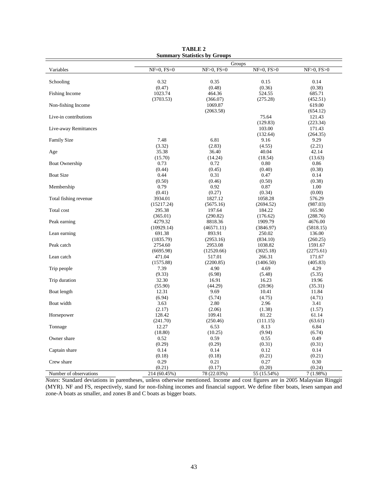<span id="page-42-0"></span>

| $NF>0$ , $FS=0$<br>Variables<br>$NF=0$ , $FS=0$<br>$NF=0$ , $FS>0$<br>$NF>0$ , $FS>0$<br>Schooling<br>0.32<br>0.15<br>0.14<br>0.35<br>(0.47)<br>(0.48)<br>(0.36)<br>(0.38)<br>Fishing Income<br>1023.74<br>464.36<br>524.55<br>685.71<br>(3703.53)<br>(366.07)<br>(275.28)<br>(452.51)<br>Non-fishing Income<br>1069.87<br>619.00<br>(2063.58)<br>(654.12)<br>Live-in contributions<br>75.64<br>121.43<br>(129.83)<br>(223.34)<br>Live-away Remittances<br>103.00<br>171.43<br>(132.64)<br>(264.35)<br><b>Family Size</b><br>7.48<br>6.81<br>9.16<br>9.29<br>(3.32)<br>(2.83)<br>(4.55)<br>(2.21)<br>35.38<br>36.40<br>40.04<br>42.14<br>Age<br>(15.70)<br>(14.24)<br>(18.54)<br>(13.63)<br>0.73<br>0.72<br>0.80<br><b>Boat Ownership</b><br>0.86<br>(0.44)<br>(0.40)<br>(0.45)<br>(0.38)<br><b>Boat Size</b><br>0.47<br>0.44<br>0.31<br>0.14<br>(0.50)<br>(0.46)<br>(0.50)<br>(0.38)<br>0.79<br>0.92<br>0.87<br>1.00<br>Membership<br>(0.41)<br>(0.27)<br>(0.34)<br>(0.00)<br>Total fishing revenue<br>3934.01<br>1827.12<br>1058.28<br>576.29<br>(5675.16)<br>(15217.24)<br>(2694.52)<br>(987.03)<br>Total cost<br>295.38<br>197.64<br>165.90<br>184.22<br>(290.82)<br>(288.76)<br>(365.01)<br>(176.62)<br>Peak earning<br>4279.32<br>8818.36<br>1909.79<br>4676.00<br>(10929.14)<br>(46571.11)<br>(5818.15)<br>(3846.97)<br>Lean earning<br>893.91<br>691.38<br>250.02<br>136.00<br>(2953.16)<br>(834.10)<br>(260.25)<br>(1835.79)<br>Peak catch<br>2754.60<br>2953.08<br>1038.82<br>1591.67<br>(6695.98)<br>(12520.66)<br>(3025.18)<br>(2275.61)<br>Lean catch<br>471.04<br>517.01<br>266.31<br>171.67<br>(2200.85)<br>(1575.88)<br>(1406.50)<br>(405.83) |             | Groups |      |      |      |  |  |
|---------------------------------------------------------------------------------------------------------------------------------------------------------------------------------------------------------------------------------------------------------------------------------------------------------------------------------------------------------------------------------------------------------------------------------------------------------------------------------------------------------------------------------------------------------------------------------------------------------------------------------------------------------------------------------------------------------------------------------------------------------------------------------------------------------------------------------------------------------------------------------------------------------------------------------------------------------------------------------------------------------------------------------------------------------------------------------------------------------------------------------------------------------------------------------------------------------------------------------------------------------------------------------------------------------------------------------------------------------------------------------------------------------------------------------------------------------------------------------------------------------------------------------------------------------------------------------------------------------------------------------------------------------------|-------------|--------|------|------|------|--|--|
|                                                                                                                                                                                                                                                                                                                                                                                                                                                                                                                                                                                                                                                                                                                                                                                                                                                                                                                                                                                                                                                                                                                                                                                                                                                                                                                                                                                                                                                                                                                                                                                                                                                               |             |        |      |      |      |  |  |
|                                                                                                                                                                                                                                                                                                                                                                                                                                                                                                                                                                                                                                                                                                                                                                                                                                                                                                                                                                                                                                                                                                                                                                                                                                                                                                                                                                                                                                                                                                                                                                                                                                                               |             |        |      |      |      |  |  |
|                                                                                                                                                                                                                                                                                                                                                                                                                                                                                                                                                                                                                                                                                                                                                                                                                                                                                                                                                                                                                                                                                                                                                                                                                                                                                                                                                                                                                                                                                                                                                                                                                                                               |             |        |      |      |      |  |  |
|                                                                                                                                                                                                                                                                                                                                                                                                                                                                                                                                                                                                                                                                                                                                                                                                                                                                                                                                                                                                                                                                                                                                                                                                                                                                                                                                                                                                                                                                                                                                                                                                                                                               |             |        |      |      |      |  |  |
|                                                                                                                                                                                                                                                                                                                                                                                                                                                                                                                                                                                                                                                                                                                                                                                                                                                                                                                                                                                                                                                                                                                                                                                                                                                                                                                                                                                                                                                                                                                                                                                                                                                               |             |        |      |      |      |  |  |
|                                                                                                                                                                                                                                                                                                                                                                                                                                                                                                                                                                                                                                                                                                                                                                                                                                                                                                                                                                                                                                                                                                                                                                                                                                                                                                                                                                                                                                                                                                                                                                                                                                                               |             |        |      |      |      |  |  |
|                                                                                                                                                                                                                                                                                                                                                                                                                                                                                                                                                                                                                                                                                                                                                                                                                                                                                                                                                                                                                                                                                                                                                                                                                                                                                                                                                                                                                                                                                                                                                                                                                                                               |             |        |      |      |      |  |  |
|                                                                                                                                                                                                                                                                                                                                                                                                                                                                                                                                                                                                                                                                                                                                                                                                                                                                                                                                                                                                                                                                                                                                                                                                                                                                                                                                                                                                                                                                                                                                                                                                                                                               |             |        |      |      |      |  |  |
|                                                                                                                                                                                                                                                                                                                                                                                                                                                                                                                                                                                                                                                                                                                                                                                                                                                                                                                                                                                                                                                                                                                                                                                                                                                                                                                                                                                                                                                                                                                                                                                                                                                               |             |        |      |      |      |  |  |
|                                                                                                                                                                                                                                                                                                                                                                                                                                                                                                                                                                                                                                                                                                                                                                                                                                                                                                                                                                                                                                                                                                                                                                                                                                                                                                                                                                                                                                                                                                                                                                                                                                                               |             |        |      |      |      |  |  |
|                                                                                                                                                                                                                                                                                                                                                                                                                                                                                                                                                                                                                                                                                                                                                                                                                                                                                                                                                                                                                                                                                                                                                                                                                                                                                                                                                                                                                                                                                                                                                                                                                                                               |             |        |      |      |      |  |  |
|                                                                                                                                                                                                                                                                                                                                                                                                                                                                                                                                                                                                                                                                                                                                                                                                                                                                                                                                                                                                                                                                                                                                                                                                                                                                                                                                                                                                                                                                                                                                                                                                                                                               |             |        |      |      |      |  |  |
|                                                                                                                                                                                                                                                                                                                                                                                                                                                                                                                                                                                                                                                                                                                                                                                                                                                                                                                                                                                                                                                                                                                                                                                                                                                                                                                                                                                                                                                                                                                                                                                                                                                               |             |        |      |      |      |  |  |
|                                                                                                                                                                                                                                                                                                                                                                                                                                                                                                                                                                                                                                                                                                                                                                                                                                                                                                                                                                                                                                                                                                                                                                                                                                                                                                                                                                                                                                                                                                                                                                                                                                                               |             |        |      |      |      |  |  |
|                                                                                                                                                                                                                                                                                                                                                                                                                                                                                                                                                                                                                                                                                                                                                                                                                                                                                                                                                                                                                                                                                                                                                                                                                                                                                                                                                                                                                                                                                                                                                                                                                                                               |             |        |      |      |      |  |  |
|                                                                                                                                                                                                                                                                                                                                                                                                                                                                                                                                                                                                                                                                                                                                                                                                                                                                                                                                                                                                                                                                                                                                                                                                                                                                                                                                                                                                                                                                                                                                                                                                                                                               |             |        |      |      |      |  |  |
|                                                                                                                                                                                                                                                                                                                                                                                                                                                                                                                                                                                                                                                                                                                                                                                                                                                                                                                                                                                                                                                                                                                                                                                                                                                                                                                                                                                                                                                                                                                                                                                                                                                               |             |        |      |      |      |  |  |
|                                                                                                                                                                                                                                                                                                                                                                                                                                                                                                                                                                                                                                                                                                                                                                                                                                                                                                                                                                                                                                                                                                                                                                                                                                                                                                                                                                                                                                                                                                                                                                                                                                                               |             |        |      |      |      |  |  |
|                                                                                                                                                                                                                                                                                                                                                                                                                                                                                                                                                                                                                                                                                                                                                                                                                                                                                                                                                                                                                                                                                                                                                                                                                                                                                                                                                                                                                                                                                                                                                                                                                                                               |             |        |      |      |      |  |  |
|                                                                                                                                                                                                                                                                                                                                                                                                                                                                                                                                                                                                                                                                                                                                                                                                                                                                                                                                                                                                                                                                                                                                                                                                                                                                                                                                                                                                                                                                                                                                                                                                                                                               |             |        |      |      |      |  |  |
|                                                                                                                                                                                                                                                                                                                                                                                                                                                                                                                                                                                                                                                                                                                                                                                                                                                                                                                                                                                                                                                                                                                                                                                                                                                                                                                                                                                                                                                                                                                                                                                                                                                               |             |        |      |      |      |  |  |
|                                                                                                                                                                                                                                                                                                                                                                                                                                                                                                                                                                                                                                                                                                                                                                                                                                                                                                                                                                                                                                                                                                                                                                                                                                                                                                                                                                                                                                                                                                                                                                                                                                                               |             |        |      |      |      |  |  |
|                                                                                                                                                                                                                                                                                                                                                                                                                                                                                                                                                                                                                                                                                                                                                                                                                                                                                                                                                                                                                                                                                                                                                                                                                                                                                                                                                                                                                                                                                                                                                                                                                                                               |             |        |      |      |      |  |  |
|                                                                                                                                                                                                                                                                                                                                                                                                                                                                                                                                                                                                                                                                                                                                                                                                                                                                                                                                                                                                                                                                                                                                                                                                                                                                                                                                                                                                                                                                                                                                                                                                                                                               |             |        |      |      |      |  |  |
|                                                                                                                                                                                                                                                                                                                                                                                                                                                                                                                                                                                                                                                                                                                                                                                                                                                                                                                                                                                                                                                                                                                                                                                                                                                                                                                                                                                                                                                                                                                                                                                                                                                               |             |        |      |      |      |  |  |
|                                                                                                                                                                                                                                                                                                                                                                                                                                                                                                                                                                                                                                                                                                                                                                                                                                                                                                                                                                                                                                                                                                                                                                                                                                                                                                                                                                                                                                                                                                                                                                                                                                                               |             |        |      |      |      |  |  |
|                                                                                                                                                                                                                                                                                                                                                                                                                                                                                                                                                                                                                                                                                                                                                                                                                                                                                                                                                                                                                                                                                                                                                                                                                                                                                                                                                                                                                                                                                                                                                                                                                                                               |             |        |      |      |      |  |  |
|                                                                                                                                                                                                                                                                                                                                                                                                                                                                                                                                                                                                                                                                                                                                                                                                                                                                                                                                                                                                                                                                                                                                                                                                                                                                                                                                                                                                                                                                                                                                                                                                                                                               |             |        |      |      |      |  |  |
|                                                                                                                                                                                                                                                                                                                                                                                                                                                                                                                                                                                                                                                                                                                                                                                                                                                                                                                                                                                                                                                                                                                                                                                                                                                                                                                                                                                                                                                                                                                                                                                                                                                               |             |        |      |      |      |  |  |
|                                                                                                                                                                                                                                                                                                                                                                                                                                                                                                                                                                                                                                                                                                                                                                                                                                                                                                                                                                                                                                                                                                                                                                                                                                                                                                                                                                                                                                                                                                                                                                                                                                                               |             |        |      |      |      |  |  |
|                                                                                                                                                                                                                                                                                                                                                                                                                                                                                                                                                                                                                                                                                                                                                                                                                                                                                                                                                                                                                                                                                                                                                                                                                                                                                                                                                                                                                                                                                                                                                                                                                                                               |             |        |      |      |      |  |  |
|                                                                                                                                                                                                                                                                                                                                                                                                                                                                                                                                                                                                                                                                                                                                                                                                                                                                                                                                                                                                                                                                                                                                                                                                                                                                                                                                                                                                                                                                                                                                                                                                                                                               |             |        |      |      |      |  |  |
|                                                                                                                                                                                                                                                                                                                                                                                                                                                                                                                                                                                                                                                                                                                                                                                                                                                                                                                                                                                                                                                                                                                                                                                                                                                                                                                                                                                                                                                                                                                                                                                                                                                               |             |        |      |      |      |  |  |
|                                                                                                                                                                                                                                                                                                                                                                                                                                                                                                                                                                                                                                                                                                                                                                                                                                                                                                                                                                                                                                                                                                                                                                                                                                                                                                                                                                                                                                                                                                                                                                                                                                                               |             |        |      |      |      |  |  |
|                                                                                                                                                                                                                                                                                                                                                                                                                                                                                                                                                                                                                                                                                                                                                                                                                                                                                                                                                                                                                                                                                                                                                                                                                                                                                                                                                                                                                                                                                                                                                                                                                                                               |             |        |      |      |      |  |  |
|                                                                                                                                                                                                                                                                                                                                                                                                                                                                                                                                                                                                                                                                                                                                                                                                                                                                                                                                                                                                                                                                                                                                                                                                                                                                                                                                                                                                                                                                                                                                                                                                                                                               | Trip people | 7.39   | 4.90 | 4.69 | 4.29 |  |  |
| (9.33)<br>(6.98)<br>(5.35)<br>(5.48)                                                                                                                                                                                                                                                                                                                                                                                                                                                                                                                                                                                                                                                                                                                                                                                                                                                                                                                                                                                                                                                                                                                                                                                                                                                                                                                                                                                                                                                                                                                                                                                                                          |             |        |      |      |      |  |  |
| 32.30<br>16.91<br>16.23<br>19.96<br>Trip duration                                                                                                                                                                                                                                                                                                                                                                                                                                                                                                                                                                                                                                                                                                                                                                                                                                                                                                                                                                                                                                                                                                                                                                                                                                                                                                                                                                                                                                                                                                                                                                                                             |             |        |      |      |      |  |  |
| (55.90)<br>(44.29)<br>(20.96)<br>(35.31)                                                                                                                                                                                                                                                                                                                                                                                                                                                                                                                                                                                                                                                                                                                                                                                                                                                                                                                                                                                                                                                                                                                                                                                                                                                                                                                                                                                                                                                                                                                                                                                                                      |             |        |      |      |      |  |  |
| 12.31<br>Boat length<br>9.69<br>10.41<br>11.84                                                                                                                                                                                                                                                                                                                                                                                                                                                                                                                                                                                                                                                                                                                                                                                                                                                                                                                                                                                                                                                                                                                                                                                                                                                                                                                                                                                                                                                                                                                                                                                                                |             |        |      |      |      |  |  |
| (6.94)<br>(5.74)<br>(4.75)<br>(4.71)                                                                                                                                                                                                                                                                                                                                                                                                                                                                                                                                                                                                                                                                                                                                                                                                                                                                                                                                                                                                                                                                                                                                                                                                                                                                                                                                                                                                                                                                                                                                                                                                                          |             |        |      |      |      |  |  |
| Boat width<br>3.63<br>2.80<br>2.96<br>3.41                                                                                                                                                                                                                                                                                                                                                                                                                                                                                                                                                                                                                                                                                                                                                                                                                                                                                                                                                                                                                                                                                                                                                                                                                                                                                                                                                                                                                                                                                                                                                                                                                    |             |        |      |      |      |  |  |
| (2.17)<br>(2.06)<br>(1.38)<br>(1.57)                                                                                                                                                                                                                                                                                                                                                                                                                                                                                                                                                                                                                                                                                                                                                                                                                                                                                                                                                                                                                                                                                                                                                                                                                                                                                                                                                                                                                                                                                                                                                                                                                          |             |        |      |      |      |  |  |
| 128.42<br>109.41<br>81.22<br>61.14<br>Horsepower                                                                                                                                                                                                                                                                                                                                                                                                                                                                                                                                                                                                                                                                                                                                                                                                                                                                                                                                                                                                                                                                                                                                                                                                                                                                                                                                                                                                                                                                                                                                                                                                              |             |        |      |      |      |  |  |
| (241.70)<br>(250.46)<br>(111.15)<br>(63.61)                                                                                                                                                                                                                                                                                                                                                                                                                                                                                                                                                                                                                                                                                                                                                                                                                                                                                                                                                                                                                                                                                                                                                                                                                                                                                                                                                                                                                                                                                                                                                                                                                   |             |        |      |      |      |  |  |
| Tonnage<br>12.27<br>8.13<br>6.84<br>6.53                                                                                                                                                                                                                                                                                                                                                                                                                                                                                                                                                                                                                                                                                                                                                                                                                                                                                                                                                                                                                                                                                                                                                                                                                                                                                                                                                                                                                                                                                                                                                                                                                      |             |        |      |      |      |  |  |
| (9.94)<br>(18.80)<br>(10.25)<br>(6.74)                                                                                                                                                                                                                                                                                                                                                                                                                                                                                                                                                                                                                                                                                                                                                                                                                                                                                                                                                                                                                                                                                                                                                                                                                                                                                                                                                                                                                                                                                                                                                                                                                        |             |        |      |      |      |  |  |
| Owner share<br>0.52<br>0.59<br>0.55<br>0.49                                                                                                                                                                                                                                                                                                                                                                                                                                                                                                                                                                                                                                                                                                                                                                                                                                                                                                                                                                                                                                                                                                                                                                                                                                                                                                                                                                                                                                                                                                                                                                                                                   |             |        |      |      |      |  |  |
| (0.29)<br>(0.29)<br>(0.31)<br>(0.31)                                                                                                                                                                                                                                                                                                                                                                                                                                                                                                                                                                                                                                                                                                                                                                                                                                                                                                                                                                                                                                                                                                                                                                                                                                                                                                                                                                                                                                                                                                                                                                                                                          |             |        |      |      |      |  |  |
| Captain share<br>0.14<br>0.14<br>0.12<br>0.14                                                                                                                                                                                                                                                                                                                                                                                                                                                                                                                                                                                                                                                                                                                                                                                                                                                                                                                                                                                                                                                                                                                                                                                                                                                                                                                                                                                                                                                                                                                                                                                                                 |             |        |      |      |      |  |  |
| (0.18)<br>(0.18)<br>(0.21)<br>(0.21)                                                                                                                                                                                                                                                                                                                                                                                                                                                                                                                                                                                                                                                                                                                                                                                                                                                                                                                                                                                                                                                                                                                                                                                                                                                                                                                                                                                                                                                                                                                                                                                                                          |             |        |      |      |      |  |  |
| 0.29<br>0.21<br>0.27<br>0.30<br>Crew share                                                                                                                                                                                                                                                                                                                                                                                                                                                                                                                                                                                                                                                                                                                                                                                                                                                                                                                                                                                                                                                                                                                                                                                                                                                                                                                                                                                                                                                                                                                                                                                                                    |             |        |      |      |      |  |  |
| (0.21)<br>(0.20)<br>(0.24)<br>(0.17)                                                                                                                                                                                                                                                                                                                                                                                                                                                                                                                                                                                                                                                                                                                                                                                                                                                                                                                                                                                                                                                                                                                                                                                                                                                                                                                                                                                                                                                                                                                                                                                                                          |             |        |      |      |      |  |  |
| Number of observations<br>214 (60.45%)<br>78 (22.03%)<br>55 (15.54%)<br>7(1.98%)                                                                                                                                                                                                                                                                                                                                                                                                                                                                                                                                                                                                                                                                                                                                                                                                                                                                                                                                                                                                                                                                                                                                                                                                                                                                                                                                                                                                                                                                                                                                                                              |             |        |      |      |      |  |  |

**TABLE 2 Summary Statistics by Groups**

*Notes*: Standard deviations in parentheses, unless otherwise mentioned. Income and cost figures are in 2005 Malaysian Ringgit (MYR). NF and FS, respectively, stand for non-fishing incomes and financial support. We define fiber boats, lesen sampan and zone-A boats as smaller, and zones B and C boats as bigger boats.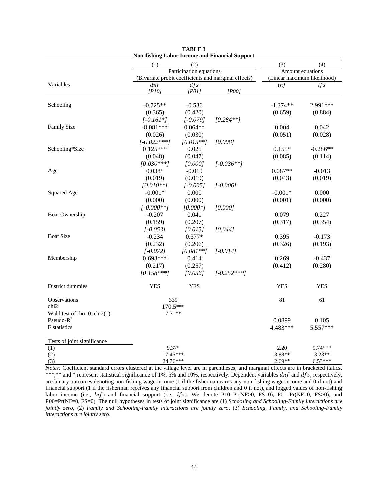<span id="page-43-0"></span>

|                               | (2)                                                  |             |               | (3)                         | (4)        |
|-------------------------------|------------------------------------------------------|-------------|---------------|-----------------------------|------------|
|                               | (1)<br>Participation equations                       |             |               | Amount equations            |            |
|                               | (Bivariate probit coefficients and marginal effects) |             |               | (Linear maximum likelihood) |            |
| Variables                     | dnf                                                  | dfs         |               | lnf                         | lfs        |
|                               | [PI0]                                                | [POII]      | [POO]         |                             |            |
|                               |                                                      |             |               |                             |            |
| Schooling                     | $-0.725**$                                           | $-0.536$    |               | $-1.374**$                  | 2.991***   |
|                               | (0.365)                                              | (0.420)     |               | (0.659)                     | (0.884)    |
|                               | $[-0.161*]$                                          | $[-0.079]$  | $[0.284**]$   |                             |            |
| Family Size                   | $-0.081***$                                          | $0.064**$   |               | 0.004                       | 0.042      |
|                               | (0.026)                                              | (0.030)     |               | (0.051)                     | (0.028)    |
|                               | $[-0.022***]$                                        | $[0.015**]$ | [0.008]       |                             |            |
| Schooling*Size                | $0.125***$                                           | 0.025       |               | $0.155*$                    | $-0.286**$ |
|                               | (0.048)                                              | (0.047)     |               | (0.085)                     | (0.114)    |
|                               | $[0.030***]$                                         | [0.000]     | $[-0.036**]$  |                             |            |
| Age                           | $0.038*$                                             | $-0.019$    |               | $0.087**$                   | $-0.013$   |
|                               | (0.019)                                              | (0.019)     |               | (0.043)                     | (0.019)    |
|                               | $[0.010**]$                                          | $[-0.005]$  | $[-0.006]$    |                             |            |
| Squared Age                   | $-0.001*$                                            | 0.000       |               | $-0.001*$                   | 0.000      |
|                               | (0.000)                                              | (0.000)     |               | (0.001)                     | (0.000)    |
|                               | $[-0.000**]$                                         | $[0.000*]$  | [0.000]       |                             |            |
| Boat Ownership                | $-0.207$                                             | 0.041       |               | 0.079                       | 0.227      |
|                               | (0.159)                                              | (0.207)     |               | (0.317)                     | (0.354)    |
|                               | $[-0.053]$                                           | [0.015]     | [0.044]       |                             |            |
| <b>Boat Size</b>              | $-0.234$                                             | $0.377*$    |               | 0.395                       | $-0.173$   |
|                               | (0.232)                                              | (0.206)     |               | (0.326)                     | (0.193)    |
|                               | $[-0.072]$                                           | $[0.081**]$ | $[-0.014]$    |                             |            |
| Membership                    | $0.693***$                                           | 0.414       |               | 0.269                       | $-0.437$   |
|                               | (0.217)                                              | (0.257)     |               | (0.412)                     | (0.280)    |
|                               | $[0.158***]$                                         | [0.056]     | $[-0.252***]$ |                             |            |
|                               |                                                      |             |               |                             |            |
| District dummies              | <b>YES</b>                                           | <b>YES</b>  |               | <b>YES</b>                  | <b>YES</b> |
| Observations                  | 339                                                  |             |               | 81                          | 61         |
| chi <sub>2</sub>              | 170.5***                                             |             |               |                             |            |
| Wald test of rho=0: $chi2(1)$ | $7.71**$                                             |             |               |                             |            |
| Pseudo- $R^2$                 |                                                      |             |               | 0.0899                      | 0.105      |
| F statistics                  |                                                      |             |               | 4.483***                    | 5.557***   |
| Tests of joint significance   |                                                      |             |               |                             |            |
| (1)                           | $9.37*$                                              |             |               | 2.20                        | 9.74***    |
| (2)                           | $17.45***$                                           |             |               | 3.88**                      | $3.23**$   |
| (3)                           | 24.76***                                             |             |               | $2.69**$                    | $6.53***$  |

**TABLE 3 Non-fishing Labor Income and Financial Support**

*Notes:* Coefficient standard errors clustered at the village level are in parentheses, and marginal effects are in bracketed italics. \*\*\*,\*\* and \* represent statistical significance of 1%, 5% and 10%, respectively. Dependent variables  $dnf$  and  $dfs$ , respectively, are binary outcomes denoting non-fishing wage income (1 if the fisherman earns any non-fishing wage income and 0 if not) and financial support (1 if the fisherman receives any financial support from children and 0 if not), and logged values of non-fishing labor income (i.e.,  $ln f$ ) and financial support (i.e.,  $lfs$ ). We denote P10=Pr(NF>0, FS=0), P01=Pr(NF=0, FS>0), and P00=Pr(NF=0, FS=0). The null hypotheses in tests of joint significance are (1) *Schooling and Schooling-Family interactions are jointly zero*, (2) *Family and Schooling-Family interactions are jointly zero*, (3) *Schooling, Family, and Schooling-Family interactions are jointly zero*.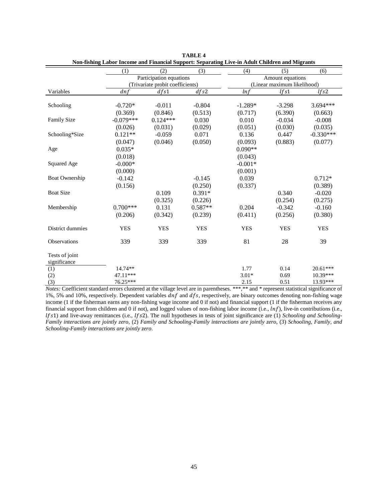<span id="page-44-0"></span>

|                       | (1)                     | (2)                              | (3)              | (4)        | (5)                         | (6)         |  |  |
|-----------------------|-------------------------|----------------------------------|------------------|------------|-----------------------------|-------------|--|--|
|                       | Participation equations |                                  | Amount equations |            |                             |             |  |  |
|                       |                         | (Trivariate probit coefficients) |                  |            | (Linear maximum likelihood) |             |  |  |
| Variables             | dnf                     | dfs1                             | dfs2             | lnf        | lfs1                        | lfs2        |  |  |
|                       |                         |                                  |                  |            |                             |             |  |  |
| Schooling             | $-0.720*$               | $-0.011$                         | $-0.804$         | $-1.289*$  | $-3.298$                    | $3.694***$  |  |  |
|                       | (0.369)                 | (0.846)                          | (0.513)          | (0.717)    | (6.390)                     | (0.663)     |  |  |
| <b>Family Size</b>    | $-0.079***$             | $0.124***$                       | 0.030            | 0.010      | $-0.034$                    | $-0.008$    |  |  |
|                       | (0.026)                 | (0.031)                          | (0.029)          | (0.051)    | (0.030)                     | (0.035)     |  |  |
| Schooling*Size        | $0.121**$               | $-0.059$                         | 0.071            | 0.136      | 0.447                       | $-0.330***$ |  |  |
|                       | (0.047)                 | (0.046)                          | (0.050)          | (0.093)    | (0.883)                     | (0.077)     |  |  |
| Age                   | $0.035*$                |                                  |                  | $0.090**$  |                             |             |  |  |
|                       | (0.018)                 |                                  |                  | (0.043)    |                             |             |  |  |
| Squared Age           | $-0.000*$               |                                  |                  | $-0.001*$  |                             |             |  |  |
|                       | (0.000)                 |                                  |                  | (0.001)    |                             |             |  |  |
| <b>Boat Ownership</b> | $-0.142$                |                                  | $-0.145$         | 0.039      |                             | $0.712*$    |  |  |
|                       | (0.156)                 |                                  | (0.250)          | (0.337)    |                             | (0.389)     |  |  |
| <b>Boat Size</b>      |                         | 0.109                            | $0.391*$         |            | 0.340                       | $-0.020$    |  |  |
|                       |                         | (0.325)                          | (0.226)          |            | (0.254)                     | (0.275)     |  |  |
| Membership            | $0.700***$              | 0.131                            | $0.587**$        | 0.204      | $-0.342$                    | $-0.160$    |  |  |
|                       | (0.206)                 | (0.342)                          | (0.239)          | (0.411)    | (0.256)                     | (0.380)     |  |  |
|                       |                         |                                  |                  |            |                             |             |  |  |
| District dummies      | <b>YES</b>              | <b>YES</b>                       | <b>YES</b>       | <b>YES</b> | <b>YES</b>                  | <b>YES</b>  |  |  |
| Observations          | 339                     | 339                              | 339              | 81         | 28                          | 39          |  |  |
| Tests of joint        |                         |                                  |                  |            |                             |             |  |  |
| significance          |                         |                                  |                  |            |                             |             |  |  |
| (1)                   | 14.74**                 |                                  |                  | 1.77       | 0.14                        | $20.61***$  |  |  |
| (2)                   | 47.11***                |                                  |                  | $3.01*$    | 0.69                        | $10.39***$  |  |  |
| (3)                   | 76.25***                |                                  |                  | 2.15       | 0.51                        | $13.93***$  |  |  |

**TABLE 4 Non-fishing Labor Income and Financial Support: Separating Live-in Adult Children and Migrants**

*Notes:* Coefficient standard errors clustered at the village level are in parentheses. \*\*\*,\*\* and \* represent statistical significance of 1%, 5% and 10%, respectively. Dependent variables  $dnf$  and  $dfs$ , respectively, are binary outcomes denoting non-fishing wage income (1 if the fisherman earns any non-fishing wage income and 0 if not) and financial support (1 if the fisherman receives any financial support from children and 0 if not), and logged values of non-fishing labor income (i.e.,  $ln f$ ), live-in contributions (i.e., 1) and live-away remittances (i.e., 2). The null hypotheses in tests of joint significance are (1) *Schooling and Schooling-Family interactions are jointly zero*, (2) *Family and Schooling-Family interactions are jointly zero*, (3) *Schooling, Family, and Schooling-Family interactions are jointly zero*.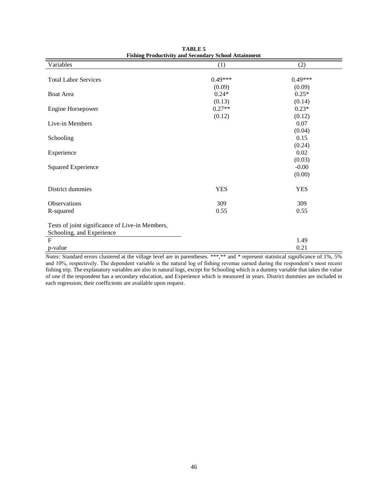<span id="page-45-0"></span>

| Variables                                       | (1)        | (2)        |
|-------------------------------------------------|------------|------------|
|                                                 |            |            |
| <b>Total Labor Services</b>                     | $0.49***$  | $0.49***$  |
|                                                 | (0.09)     | (0.09)     |
| Boat Area                                       | $0.24*$    | $0.25*$    |
|                                                 | (0.13)     | (0.14)     |
| Engine Horsepower                               | $0.27**$   | $0.23*$    |
|                                                 | (0.12)     | (0.12)     |
| Live-in Members                                 |            | 0.07       |
|                                                 |            | (0.04)     |
| Schooling                                       |            | 0.15       |
|                                                 |            | (0.24)     |
| Experience                                      |            | 0.02       |
|                                                 |            | (0.03)     |
| <b>Squared Experience</b>                       |            | $-0.00$    |
|                                                 |            | (0.00)     |
| District dummies                                | <b>YES</b> | <b>YES</b> |
| Observations                                    | 309        | 309        |
| R-squared                                       | 0.55       | 0.55       |
| Tests of joint significance of Live-in Members, |            |            |
| Schooling, and Experience<br>$\mathbf{F}$       |            | 1.49       |
| p-value                                         |            | 0.21       |

**TABLE 5 Fishing Productivity and Secondary School Attainment**

*Notes:* Standard errors clustered at the village level are in parentheses. \*\*\*,\*\* and \* represent statistical significance of 1%, 5% and 10%, respectively. The dependent variable is the natural log of fishing revenue earned during the respondent's most recent fishing trip. The explanatory variables are also in natural logs, except for Schooling which is a dummy variable that takes the value of one if the respondent has a secondary education, and Experience which is measured in years. District dummies are included in each regression; their coefficients are available upon request.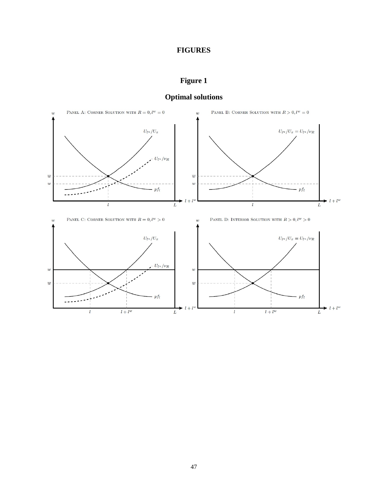## **FIGURES**

# **Figure 1**

<span id="page-46-1"></span><span id="page-46-0"></span>

# **Optimal solutions**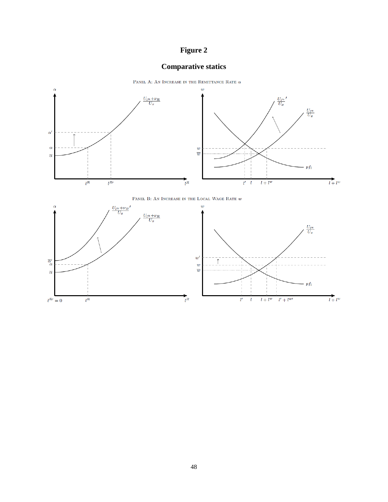# **Figure 2**

# **Comparative statics**

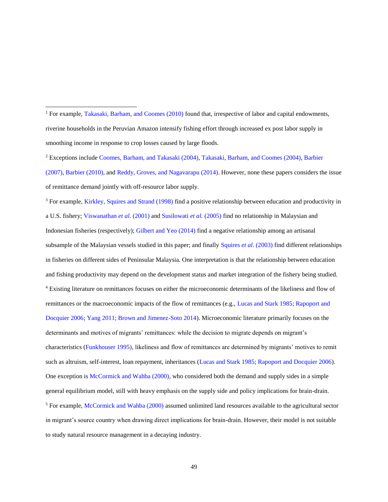l

<sup>2</sup> Exceptions includ[e Coomes, Barham, and Takasaki \(2004\),](#page-34-5) [Takasaki, Barham, and Coomes \(2004\),](#page-39-1) [Barbier](#page-32-4)  [\(2007\),](#page-32-4) [Barbier \(2010\),](#page-33-3) an[d Reddy, Groves, and Nagavarapu](#page-38-2) (2014). However, none these papers considers the issue of remittance demand jointly with off-resource labor supply.

<sup>3</sup> For example, [Kirkley, Squires and Strand \(1998\)](#page-37-7) find a positive relationship between education and productivity in a U.S. fishery; [Viswanathan](#page-39-6) *et al.* (2001) an[d Susilowati](#page-39-7) *et al.* (2005) find no relationship in Malaysian and Indonesian fisheries (respectively); [Gilbert and Yeo \(2014\)](#page-35-6) find a negative relationship among an artisanal subsample of the Malaysian vessels studied in this paper; and finally [Squires](#page-38-7) *et al.* (2003) find different relationships in fisheries on different sides of Peninsular Malaysia. One interpretation is that the relationship between education and fishing productivity may depend on the development status and market integration of the fishery being studied. <sup>4</sup> Existing literature on remittances focuses on either the microeconomic determinants of the likeliness and flow of remittances or the macroeconomic impacts of the flow of remittances (e.g., [Lucas and Stark 1985;](#page-37-0) [Rapoport and](#page-37-1)  [Docquier 2006;](#page-37-1) [Yang 2011;](#page-40-0) [Brown and Jimenez-Soto 2014\)](#page-33-0). Microeconomic literature primarily focuses on the determinants and motives of migrants' remittances: while the decision to migrate depends on migrant's characteristics [\(Funkhouser 1995\)](#page-35-0), likeliness and flow of remittances are determined by migrants' motives to remit such as altruism, self-interest, loan repayment, inheritances [\(Lucas and Stark 1985;](#page-37-0) [Rapoport and Docquier 2006\)](#page-37-1). One exception i[s McCormick and Wahba \(2000\),](#page-37-2) who considered both the demand and supply sides in a simple general equilibrium model, still with heavy emphasis on the supply side and policy implications for brain-drain. <sup>5</sup> For example, [McCormick and Wahba \(2000\)](#page-37-2) assumed unlimited land resources available to the agricultural sector in migrant's source country when drawing direct implications for brain-drain. However, their model is not suitable to study natural resource management in a decaying industry.

<sup>&</sup>lt;sup>1</sup> For example, [Takasaki, Barham, and Coomes \(2010\)](#page-39-0) found that, irrespective of labor and capital endowments, riverine households in the Peruvian Amazon intensify fishing effort through increased ex post labor supply in smoothing income in response to crop losses caused by large floods.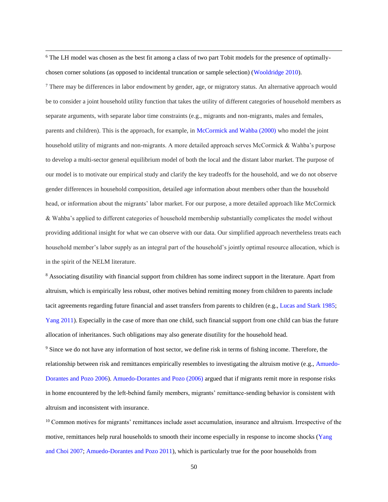<sup>6</sup> The LH model was chosen as the best fit among a class of two part Tobit models for the presence of optimallychosen corner solutions (as opposed to incidental truncation or sample selection) [\(Wooldridge 2010\)](#page-39-4).

 $\overline{\phantom{a}}$ 

<sup>7</sup> There may be differences in labor endowment by gender, age, or migratory status. An alternative approach would be to consider a joint household utility function that takes the utility of different categories of household members as separate arguments, with separate labor time constraints (e.g., migrants and non-migrants, males and females, parents and children). This is the approach, for example, in [McCormick and Wahba \(2000\)](#page-37-2) who model the joint household utility of migrants and non-migrants. A more detailed approach serves McCormick & Wahba's purpose to develop a multi-sector general equilibrium model of both the local and the distant labor market. The purpose of our model is to motivate our empirical study and clarify the key tradeoffs for the household, and we do not observe gender differences in household composition, detailed age information about members other than the household head, or information about the migrants' labor market. For our purpose, a more detailed approach like McCormick & Wahba's applied to different categories of household membership substantially complicates the model without providing additional insight for what we can observe with our data. Our simplified approach nevertheless treats each household member's labor supply as an integral part of the household's jointly optimal resource allocation, which is in the spirit of the NELM literature.

<sup>8</sup> Associating disutility with financial support from children has some indirect support in the literature. Apart from altruism, which is empirically less robust, other motives behind remitting money from children to parents include tacit agreements regarding future financial and asset transfers from parents to children (e.g., [Lucas and Stark 1985;](#page-37-0) [Yang 2011\)](#page-40-0). Especially in the case of more than one child, such financial support from one child can bias the future allocation of inheritances. Such obligations may also generate disutility for the household head.

<sup>9</sup> Since we do not have any information of host sector, we define risk in terms of fishing income. Therefore, the relationship between risk and remittances empirically resembles to investigating the altruism motive (e.g.[, Amuedo-](#page-32-3)[Dorantes and Pozo 2006\). Amuedo-Dorantes and Pozo \(2006\)](#page-32-3) argued that if migrants remit more in response risks in home encountered by the left-behind family members, migrants' remittance-sending behavior is consistent with altruism and inconsistent with insurance.

<sup>10</sup> Common motives for migrants' remittances include asset accumulation, insurance and altruism. Irrespective of the motive, remittances help rural households to smooth their income especially in response to income shocks [\(Yang](#page-40-7)  [and Choi 2007;](#page-40-7) [Amuedo-Dorantes and Pozo 2011\)](#page-32-7), which is particularly true for the poor households from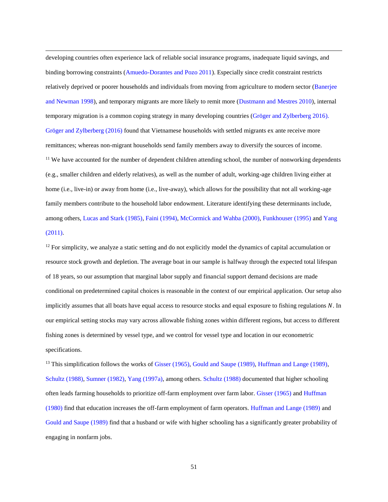developing countries often experience lack of reliable social insurance programs, inadequate liquid savings, and binding borrowing constraints [\(Amuedo-Dorantes and Pozo 2011\)](#page-32-7). Especially since credit constraint restricts relatively deprived or poorer households and individuals from moving from agriculture to modern sector [\(Banerjee](#page-32-8)  [and Newman 1998\)](#page-32-8), and temporary migrants are more likely to remit more [\(Dustmann and Mestres 2010\)](#page-34-6), internal temporary migration is a common coping strategy in many developing countries [\(Gröger and Zylberberg 2016\).](#page-36-6)  [Gröger and Zylberberg \(2016\)](#page-36-6) found that Vietnamese households with settled migrants ex ante receive more remittances; whereas non-migrant households send family members away to diversify the sources of income. <sup>11</sup> We have accounted for the number of dependent children attending school, the number of nonworking dependents (e.g., smaller children and elderly relatives), as well as the number of adult, working-age children living either at home (i.e., live-in) or away from home (i.e., live-away), which allows for the possibility that not all working-age family members contribute to the household labor endowment. Literature identifying these determinants include, among others, [Lucas and Stark \(1985\),](#page-37-0) [Faini \(1994\),](#page-35-7) [McCormick and Wahba \(2000\),](#page-37-2) [Funkhouser \(1995\)](#page-35-0) an[d Yang](#page-40-0)  [\(2011\).](#page-40-0)

 $\overline{\phantom{a}}$ 

 $12$  For simplicity, we analyze a static setting and do not explicitly model the dynamics of capital accumulation or resource stock growth and depletion. The average boat in our sample is halfway through the expected total lifespan of 18 years, so our assumption that marginal labor supply and financial support demand decisions are made conditional on predetermined capital choices is reasonable in the context of our empirical application. Our setup also implicitly assumes that all boats have equal access to resource stocks and equal exposure to fishing regulations N. In our empirical setting stocks may vary across allowable fishing zones within different regions, but access to different fishing zones is determined by vessel type, and we control for vessel type and location in our econometric specifications.

<sup>13</sup> This simplification follows the works of [Gisser \(1965\),](#page-35-8) [Gould and Saupe \(1989\),](#page-35-9) [Huffman and Lange \(1989\),](#page-37-3) [Schultz \(1988\),](#page-38-8) [Sumner \(1982\),](#page-38-9) [Yang \(1997a\),](#page-40-1) among others. [Schultz \(1988\)](#page-38-8) documented that higher schooling often leads farming households to prioritize off-farm employment over farm labor. [Gisser \(1965\)](#page-35-8) and [Huffman](#page-36-0)  [\(1980\)](#page-36-0) find that education increases the off-farm employment of farm operators. [Huffman and Lange \(1989\)](#page-37-3) and [Gould and Saupe \(1989\)](#page-35-9) find that a husband or wife with higher schooling has a significantly greater probability of engaging in nonfarm jobs.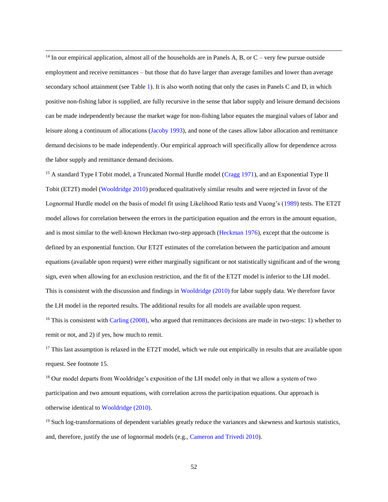<sup>14</sup> In our empirical application, almost all of the households are in Panels A, B, or  $C$  – very few pursue outside employment and receive remittances – but those that do have larger than average families and lower than average secondary school attainment (see Table [1\)](#page-41-0). It is also worth noting that only the cases in Panels C and D, in which positive non-fishing labor is supplied, are fully recursive in the sense that labor supply and leisure demand decisions can be made independently because the market wage for non-fishing labor equates the marginal values of labor and leisure along a continuum of allocations [\(Jacoby 1993\)](#page-36-4), and none of the cases allow labor allocation and remittance demand decisions to be made independently. Our empirical approach will specifically allow for dependence across the labor supply and remittance demand decisions.

 $\overline{\phantom{a}}$ 

<sup>15</sup> A standard Type I Tobit model, a Truncated Normal Hurdle model [\(Cragg 1971\)](#page-34-7), and an Exponential Type II Tobit (ET2T) model [\(Wooldridge 2010\)](#page-39-4) produced qualitatively similar results and were rejected in favor of the Lognormal Hurdle model on the basis of model fit using Likelihood Ratio tests and Vuong's [\(1989\)](#page-39-8) tests. The ET2T model allows for correlation between the errors in the participation equation and the errors in the amount equation, and is most similar to the well-known Heckman two-step approach [\(Heckman 1976\)](#page-36-7), except that the outcome is defined by an exponential function. Our ET2T estimates of the correlation between the participation and amount equations (available upon request) were either marginally significant or not statistically significant and of the wrong sign, even when allowing for an exclusion restriction, and the fit of the ET2T model is inferior to the LH model. This is consistent with the discussion and findings in [Wooldridge \(2010\)](#page-39-4) for labor supply data. We therefore favor the LH model in the reported results. The additional results for all models are available upon request.

<sup>16</sup> This is consistent with [Carling \(2008\),](#page-33-8) who argued that remittances decisions are made in two-steps: 1) whether to remit or not, and 2) if yes, how much to remit.

 $17$  This last assumption is relaxed in the ET2T model, which we rule out empirically in results that are available upon request. See footnote 15.

<sup>18</sup> Our model departs from Wooldridge's exposition of the LH model only in that we allow a system of two participation and two amount equations, with correlation across the participation equations. Our approach is otherwise identical to [Wooldridge \(2010\).](#page-39-4)

 $19$  Such log-transformations of dependent variables greatly reduce the variances and skewness and kurtosis statistics, and, therefore, justify the use of lognormal models (e.g., [Cameron and Trivedi 2010\)](#page-33-6).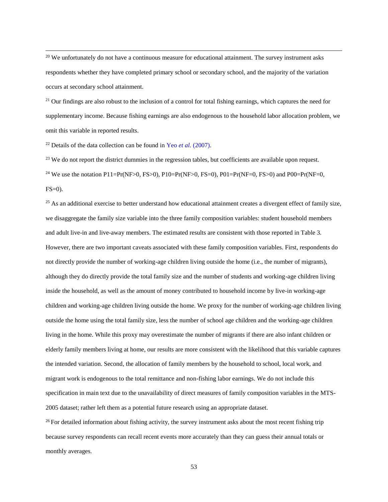<sup>20</sup> We unfortunately do not have a continuous measure for educational attainment. The survey instrument asks respondents whether they have completed primary school or secondary school, and the majority of the variation occurs at secondary school attainment.

<sup>21</sup> Our findings are also robust to the inclusion of a control for total fishing earnings, which captures the need for supplementary income. Because fishing earnings are also endogenous to the household labor allocation problem, we omit this variable in reported results.

<sup>22</sup> Details of the data collection can be found in Yeo *et al.* [\(2007\).](#page-40-4)

 $\overline{\phantom{a}}$ 

<sup>23</sup> We do not report the district dummies in the regression tables, but coefficients are available upon request. <sup>24</sup> We use the notation P11=Pr(NF>0, FS>0), P10=Pr(NF>0, FS=0), P01=Pr(NF=0, FS>0) and P00=Pr(NF=0,  $FS=0$ ).

 $25$  As an additional exercise to better understand how educational attainment creates a divergent effect of family size, we disaggregate the family size variable into the three family composition variables: student household members and adult live-in and live-away members. The estimated results are consistent with those reported in Table 3. However, there are two important caveats associated with these family composition variables. First, respondents do not directly provide the number of working-age children living outside the home (i.e., the number of migrants), although they do directly provide the total family size and the number of students and working-age children living inside the household, as well as the amount of money contributed to household income by live-in working-age children and working-age children living outside the home. We proxy for the number of working-age children living outside the home using the total family size, less the number of school age children and the working-age children living in the home. While this proxy may overestimate the number of migrants if there are also infant children or elderly family members living at home, our results are more consistent with the likelihood that this variable captures the intended variation. Second, the allocation of family members by the household to school, local work, and migrant work is endogenous to the total remittance and non-fishing labor earnings. We do not include this specification in main text due to the unavailability of direct measures of family composition variables in the MTS-2005 dataset; rather left them as a potential future research using an appropriate dataset.

 $26$  For detailed information about fishing activity, the survey instrument asks about the most recent fishing trip because survey respondents can recall recent events more accurately than they can guess their annual totals or monthly averages.